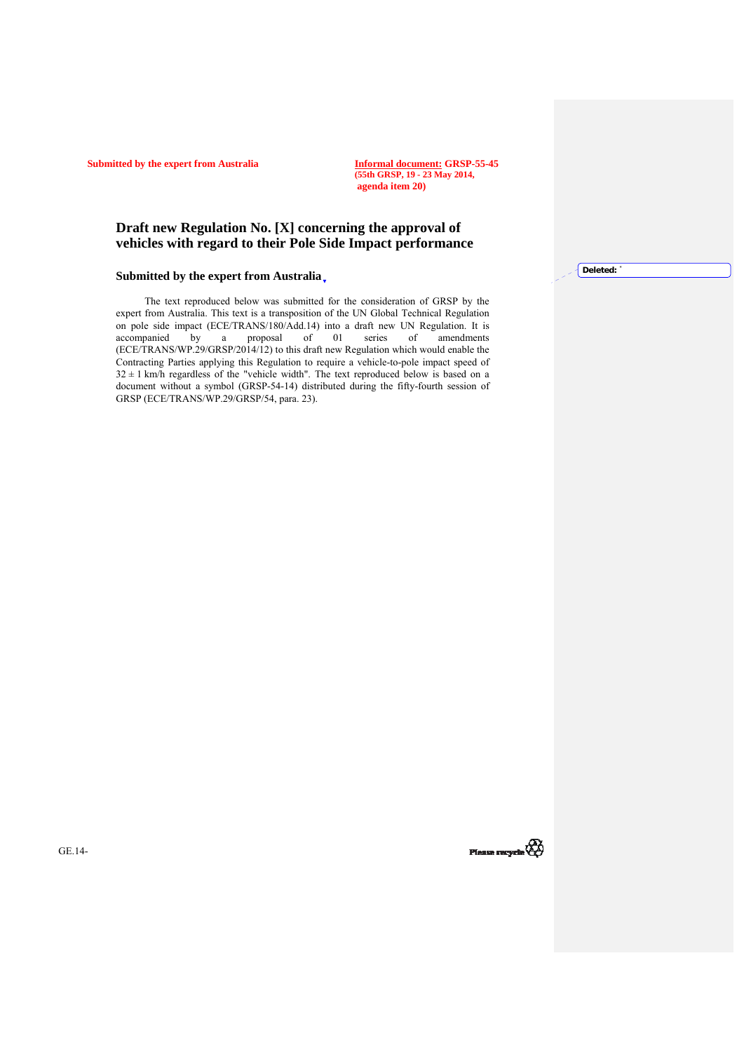**Submitted by the expert from Australia** 

**(55th GRSP, 19 - 23 May 2014, agenda item 20)**

## **Draft new Regulation No. [X] concerning the approval of vehicles with regard to their Pole Side Impact performance**

## **Submitted by the expert from Australia**

The text reproduced below was submitted for the consideration of GRSP by the expert from Australia. This text is a transposition of the UN Global Technical Regulation on pole side impact (ECE/TRANS/180/Add.14) into a draft new UN Regulation. It is accompanied by a proposal of 01 series of amendments a proposal of  $\overline{01}$  series (ECE/TRANS/WP.29/GRSP/2014/12) to this draft new Regulation which would enable the Contracting Parties applying this Regulation to require a vehicle-to-pole impact speed of  $32 \pm 1$  km/h regardless of the "vehicle width". The text reproduced below is based on a document without a symbol (GRSP-54-14) distributed during the fifty-fourth session of GRSP (ECE/TRANS/WP.29/GRSP/54, para. 23).

Deleted:

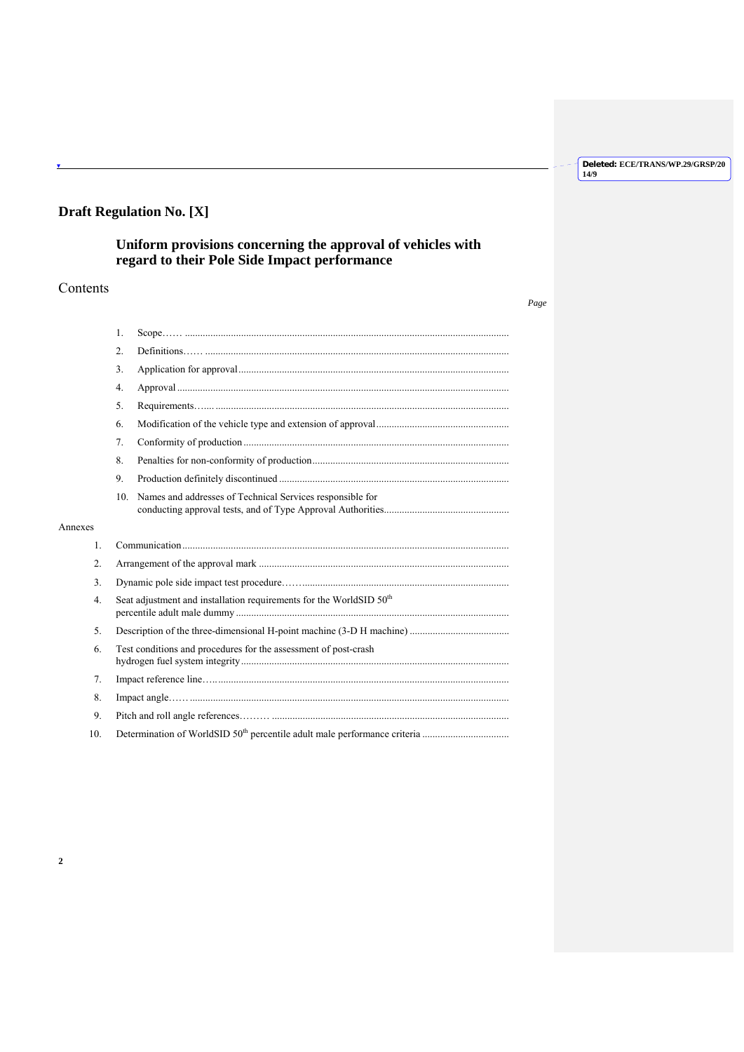*Page*

# **Draft Regulation No. [X]**

# **Uniform provisions concerning the approval of vehicles with regard to their Pole Side Impact performance**

## Contents

Annexes

|                 | 1.                                                                              |  |  |
|-----------------|---------------------------------------------------------------------------------|--|--|
|                 | 2.                                                                              |  |  |
|                 | 3.                                                                              |  |  |
|                 | 4.                                                                              |  |  |
|                 | 5 <sub>1</sub>                                                                  |  |  |
|                 | 6.                                                                              |  |  |
|                 | 7.                                                                              |  |  |
|                 | 8.                                                                              |  |  |
|                 | 9.                                                                              |  |  |
|                 | 10. Names and addresses of Technical Services responsible for                   |  |  |
|                 |                                                                                 |  |  |
| Annexes         |                                                                                 |  |  |
| $\mathbf{1}$ .  |                                                                                 |  |  |
| 2.              |                                                                                 |  |  |
| 3.              |                                                                                 |  |  |
| 4.              | Seat adjustment and installation requirements for the WorldSID 50 <sup>th</sup> |  |  |
| 5 <sub>1</sub>  |                                                                                 |  |  |
| 6.              | Test conditions and procedures for the assessment of post-crash                 |  |  |
| 7.              |                                                                                 |  |  |
| 8.              |                                                                                 |  |  |
| 9.              |                                                                                 |  |  |
| 10 <sub>1</sub> |                                                                                 |  |  |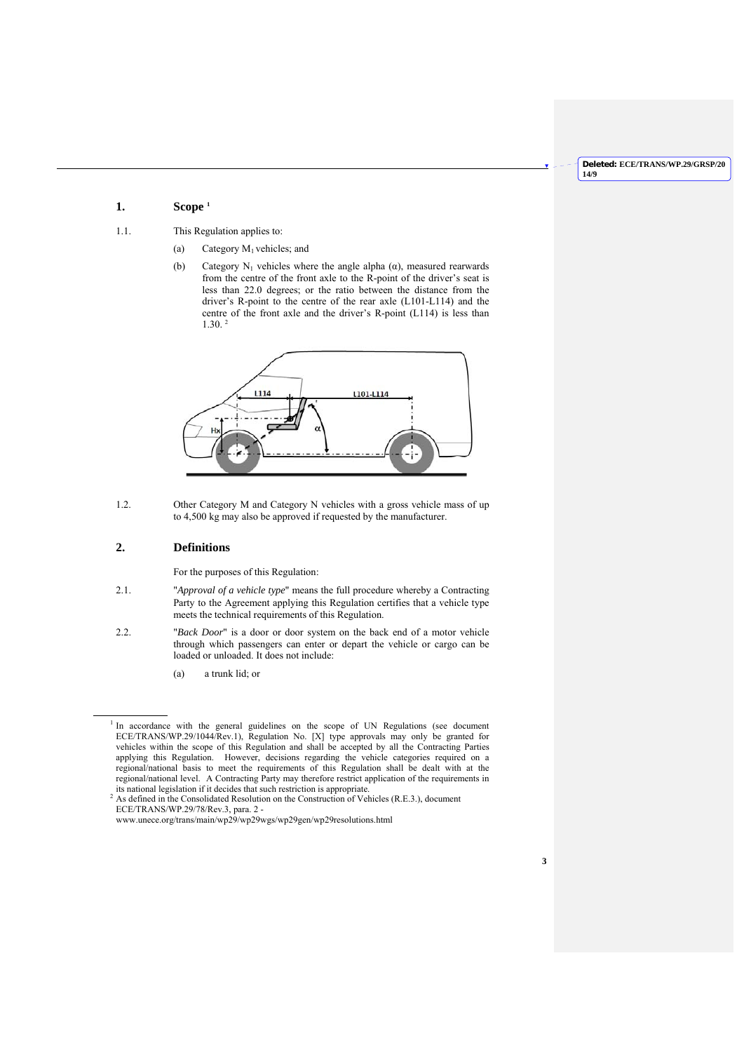## **1. Scope 1**

- 1.1. This Regulation applies to:
	- (a) Category  $M_1$  vehicles; and
	- (b) Category N<sub>1</sub> vehicles where the angle alpha  $(\alpha)$ , measured rearwards from the centre of the front axle to the R-point of the driver's seat is less than 22.0 degrees; or the ratio between the distance from the driver's R-point to the centre of the rear axle (L101-L114) and the centre of the front axle and the driver's R-point (L114) is less than  $1.30<sup>-2</sup>$



1.2. Other Category M and Category N vehicles with a gross vehicle mass of up to 4,500 kg may also be approved if requested by the manufacturer.

## **2. Definitions**

 $\overline{a}$ 

For the purposes of this Regulation:

- 2.1. "*Approval of a vehicle type*" means the full procedure whereby a Contracting Party to the Agreement applying this Regulation certifies that a vehicle type meets the technical requirements of this Regulation.
- 2.2. "*Back Door*" is a door or door system on the back end of a motor vehicle through which passengers can enter or depart the vehicle or cargo can be loaded or unloaded. It does not include:
	- (a) a trunk lid; or

<sup>&</sup>lt;sup>1</sup> In accordance with the general guidelines on the scope of UN Regulations (see document ECE/TRANS/WP.29/1044/Rev.1), Regulation No. [X] type approvals may only be granted for vehicles within the scope of this Regulation and shall be accepted by all the Contracting Parties applying this Regulation. However, decisions regarding the vehicle categories required on a regional/national basis to meet the requirements of this Regulation shall be dealt with at the regional/national level. A Contracting Party may therefore restrict application of the requirements in its national legislation if it decides that such restriction is appropriate.

 $^{2}$  As defined in the Consolidated Resolution on the Construction of Vehicles (R.E.3.), document ECE/TRANS/WP.29/78/Rev.3, para. 2 -

www.unece.org/trans/main/wp29/wp29wgs/wp29gen/wp29resolutions.html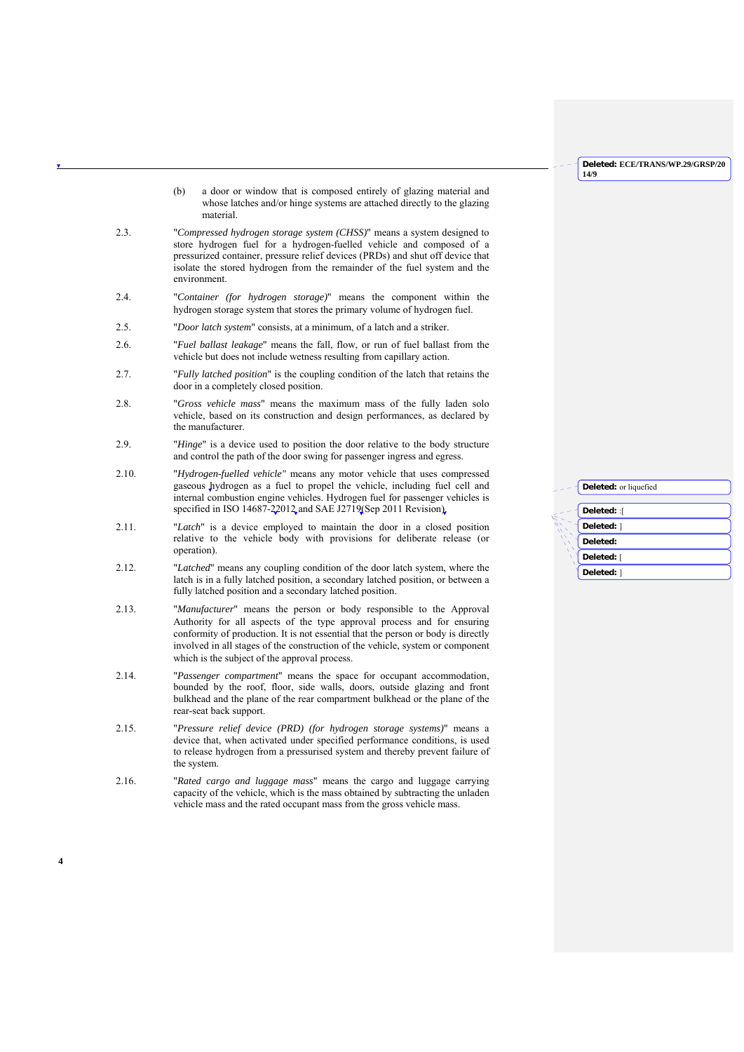- (b) a door or window that is composed entirely of glazing material and whose latches and/or hinge systems are attached directly to the glazing material.
- 2.3. "*Compressed hydrogen storage system (CHSS)*" means a system designed to store hydrogen fuel for a hydrogen-fuelled vehicle and composed of a pressurized container, pressure relief devices (PRDs) and shut off device that isolate the stored hydrogen from the remainder of the fuel system and the environment.
- 2.4. "*Container (for hydrogen storage)*" means the component within the hydrogen storage system that stores the primary volume of hydrogen fuel.
- 2.5. "*Door latch system*" consists, at a minimum, of a latch and a striker.
- 2.6. "*Fuel ballast leakage*" means the fall, flow, or run of fuel ballast from the vehicle but does not include wetness resulting from capillary action.
- 2.7. "*Fully latched position*" is the coupling condition of the latch that retains the door in a completely closed position.
- 2.8. "*Gross vehicle mass*" means the maximum mass of the fully laden solo vehicle, based on its construction and design performances, as declared by the manufacturer.
- 2.9. "*Hinge*" is a device used to position the door relative to the body structure and control the path of the door swing for passenger ingress and egress.
- 2.10. "*Hydrogen-fuelled vehicle"* means any motor vehicle that uses compressed gaseous hydrogen as a fuel to propel the vehicle, including fuel cell and internal combustion engine vehicles. Hydrogen fuel for passenger vehicles is specified in ISO 14687-22012 and SAE J2719 (Sep 2011 Revision).
- 2.11. "*Latch*" is a device employed to maintain the door in a closed position relative to the vehicle body with provisions for deliberate release (or operation).
- 2.12. "*Latched*" means any coupling condition of the door latch system, where the latch is in a fully latched position, a secondary latched position, or between a fully latched position and a secondary latched position.
- 2.13. "*Manufacturer*" means the person or body responsible to the Approval Authority for all aspects of the type approval process and for ensuring conformity of production. It is not essential that the person or body is directly involved in all stages of the construction of the vehicle, system or component which is the subject of the approval process.
- 2.14. "*Passenger compartment*" means the space for occupant accommodation, bounded by the roof, floor, side walls, doors, outside glazing and front bulkhead and the plane of the rear compartment bulkhead or the plane of the rear-seat back support.
- 2.15. "*Pressure relief device (PRD) (for hydrogen storage systems)*" means a device that, when activated under specified performance conditions, is used to release hydrogen from a pressurised system and thereby prevent failure of the system.
- 2.16. "*Rated cargo and luggage mass*" means the cargo and luggage carrying capacity of the vehicle, which is the mass obtained by subtracting the unladen vehicle mass and the rated occupant mass from the gross vehicle mass.

| <b>Deleted:</b> or liquefied |
|------------------------------|
|                              |
| Deleted: :[                  |
| Deleted: ]                   |
| Deleted:                     |
| Deleted: [                   |
| Deleted: 1                   |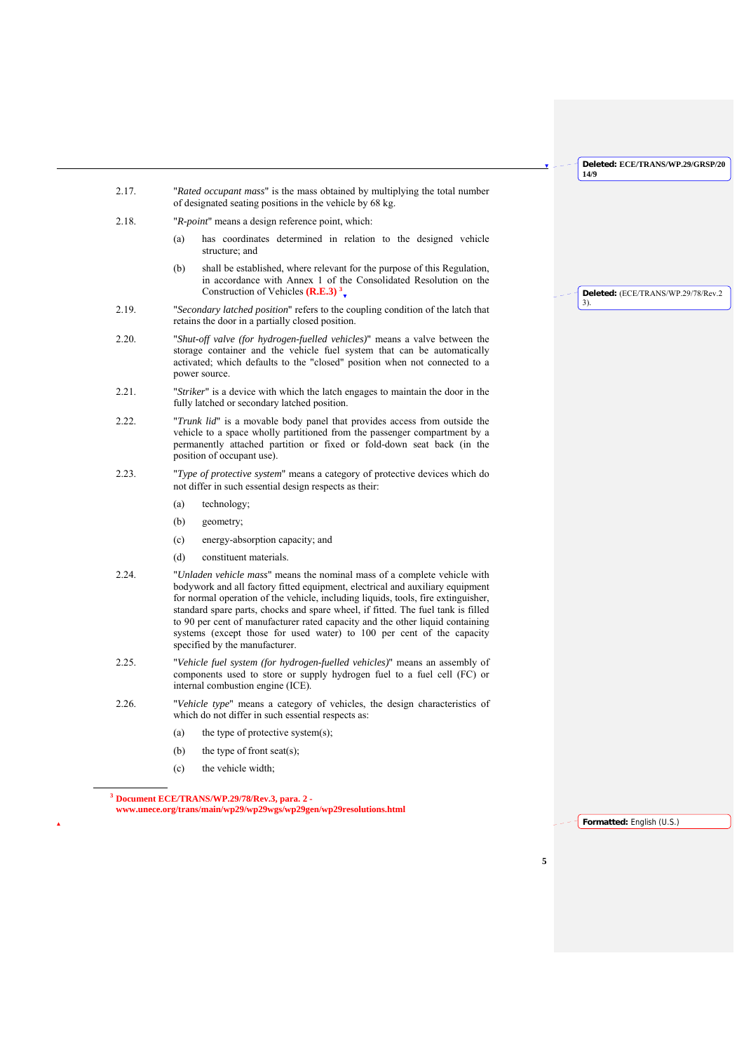**Deleted:** (ECE/TRANS/WP.29/78/Rev.2

3).

- 2.17. "*Rated occupant mass*" is the mass obtained by multiplying the total number of designated seating positions in the vehicle by 68 kg.
- 2.18. "*R-point*" means a design reference point, which:
	- (a) has coordinates determined in relation to the designed vehicle structure; and
	- (b) shall be established, where relevant for the purpose of this Regulation, in accordance with Annex 1 of the Consolidated Resolution on the Construction of Vehicles **(R.E.3) 3**
- 2.19. "*Secondary latched position*" refers to the coupling condition of the latch that retains the door in a partially closed position.
- 2.20. "*Shut-off valve (for hydrogen-fuelled vehicles)*" means a valve between the storage container and the vehicle fuel system that can be automatically activated; which defaults to the "closed" position when not connected to a power source.
- 2.21. "*Striker*" is a device with which the latch engages to maintain the door in the fully latched or secondary latched position.
- 2.22. "*Trunk lid*" is a movable body panel that provides access from outside the vehicle to a space wholly partitioned from the passenger compartment by a permanently attached partition or fixed or fold-down seat back (in the position of occupant use).
- 2.23. "*Type of protective system*" means a category of protective devices which do not differ in such essential design respects as their:
	- (a) technology;
	- (b) geometry;
	- (c) energy-absorption capacity; and
	- (d) constituent materials.
- 2.24. "*Unladen vehicle mass*" means the nominal mass of a complete vehicle with bodywork and all factory fitted equipment, electrical and auxiliary equipment for normal operation of the vehicle, including liquids, tools, fire extinguisher, standard spare parts, chocks and spare wheel, if fitted. The fuel tank is filled to 90 per cent of manufacturer rated capacity and the other liquid containing systems (except those for used water) to 100 per cent of the capacity specified by the manufacturer.
- 2.25. "*Vehicle fuel system (for hydrogen-fuelled vehicles)*" means an assembly of components used to store or supply hydrogen fuel to a fuel cell (FC) or internal combustion engine (ICE).
- 2.26. "*Vehicle type*" means a category of vehicles, the design characteristics of which do not differ in such essential respects as:
	- (a) the type of protective system $(s)$ ;
	- (b) the type of front seat(s);
	- (c) the vehicle width;

l

**<sup>3</sup> Document ECE/TRANS/WP.29/78/Rev.3, para. 2 www.unece.org/trans/main/wp29/wp29wgs/wp29gen/wp29resolutions.html** 

**Formatted:** English (U.S.)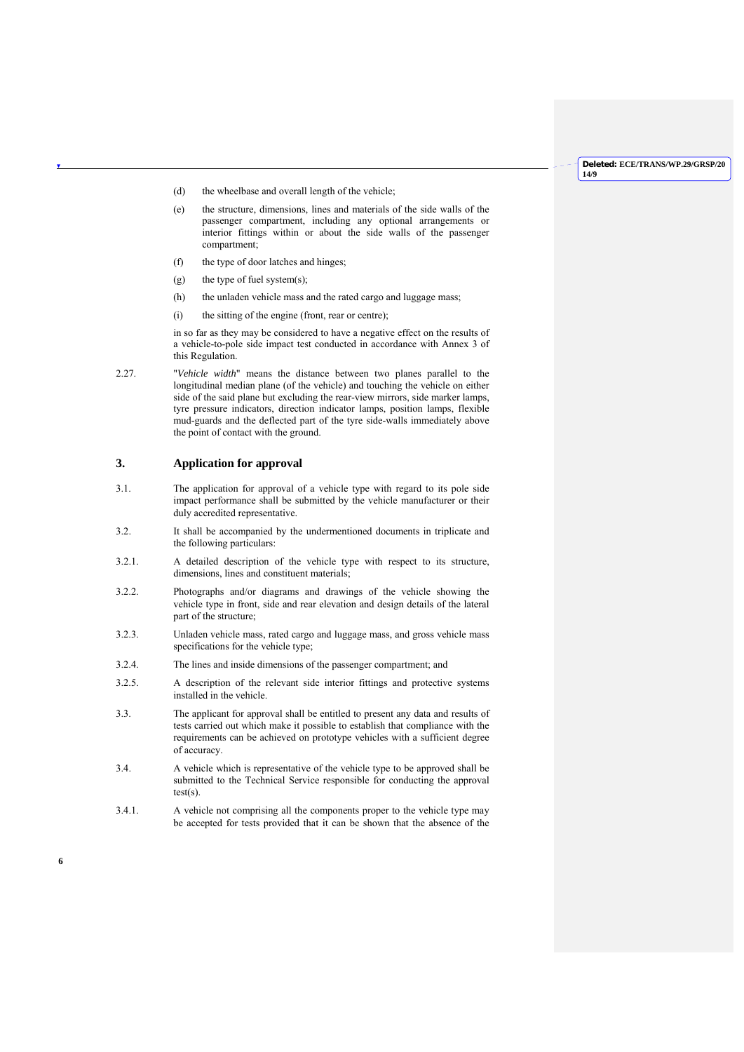- (d) the wheelbase and overall length of the vehicle;
- (e) the structure, dimensions, lines and materials of the side walls of the passenger compartment, including any optional arrangements or interior fittings within or about the side walls of the passenger compartment;
- (f) the type of door latches and hinges;
- (g) the type of fuel system(s);
- (h) the unladen vehicle mass and the rated cargo and luggage mass;
- (i) the sitting of the engine (front, rear or centre);

in so far as they may be considered to have a negative effect on the results of a vehicle-to-pole side impact test conducted in accordance with Annex 3 of this Regulation.

2.27. "*Vehicle width*" means the distance between two planes parallel to the longitudinal median plane (of the vehicle) and touching the vehicle on either side of the said plane but excluding the rear-view mirrors, side marker lamps, tyre pressure indicators, direction indicator lamps, position lamps, flexible mud-guards and the deflected part of the tyre side-walls immediately above the point of contact with the ground.

## **3. Application for approval**

- 3.1. The application for approval of a vehicle type with regard to its pole side impact performance shall be submitted by the vehicle manufacturer or their duly accredited representative.
- 3.2. It shall be accompanied by the undermentioned documents in triplicate and the following particulars:
- 3.2.1. A detailed description of the vehicle type with respect to its structure, dimensions, lines and constituent materials;
- 3.2.2. Photographs and/or diagrams and drawings of the vehicle showing the vehicle type in front, side and rear elevation and design details of the lateral part of the structure;
- 3.2.3. Unladen vehicle mass, rated cargo and luggage mass, and gross vehicle mass specifications for the vehicle type;
- 3.2.4. The lines and inside dimensions of the passenger compartment; and
- 3.2.5. A description of the relevant side interior fittings and protective systems installed in the vehicle.
- 3.3. The applicant for approval shall be entitled to present any data and results of tests carried out which make it possible to establish that compliance with the requirements can be achieved on prototype vehicles with a sufficient degree of accuracy.
- 3.4. A vehicle which is representative of the vehicle type to be approved shall be submitted to the Technical Service responsible for conducting the approval test(s).
- 3.4.1. A vehicle not comprising all the components proper to the vehicle type may be accepted for tests provided that it can be shown that the absence of the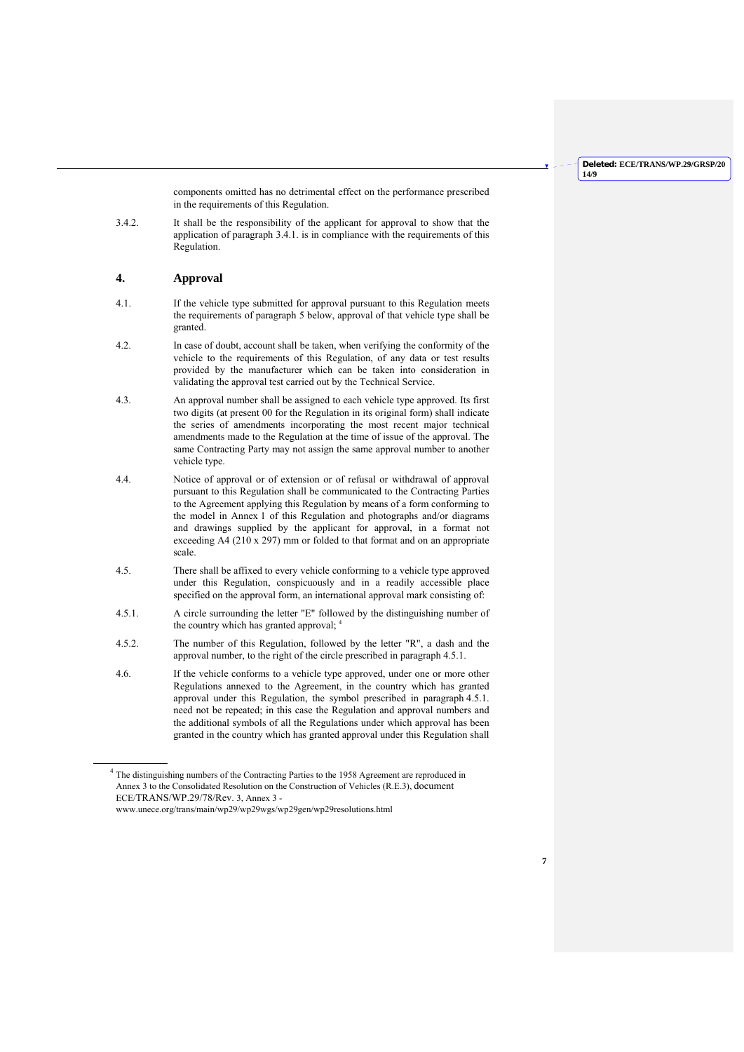components omitted has no detrimental effect on the performance prescribed in the requirements of this Regulation.

3.4.2. It shall be the responsibility of the applicant for approval to show that the application of paragraph 3.4.1. is in compliance with the requirements of this Regulation.

## **4. Approval**

- 4.1. If the vehicle type submitted for approval pursuant to this Regulation meets the requirements of paragraph 5 below, approval of that vehicle type shall be granted.
- 4.2. In case of doubt, account shall be taken, when verifying the conformity of the vehicle to the requirements of this Regulation, of any data or test results provided by the manufacturer which can be taken into consideration in validating the approval test carried out by the Technical Service.
- 4.3. An approval number shall be assigned to each vehicle type approved. Its first two digits (at present 00 for the Regulation in its original form) shall indicate the series of amendments incorporating the most recent major technical amendments made to the Regulation at the time of issue of the approval. The same Contracting Party may not assign the same approval number to another vehicle type.
- 4.4. Notice of approval or of extension or of refusal or withdrawal of approval pursuant to this Regulation shall be communicated to the Contracting Parties to the Agreement applying this Regulation by means of a form conforming to the model in Annex 1 of this Regulation and photographs and/or diagrams and drawings supplied by the applicant for approval, in a format not exceeding  $\overrightarrow{AA}$  (210 x 297) mm or folded to that format and on an appropriate scale.
- 4.5. There shall be affixed to every vehicle conforming to a vehicle type approved under this Regulation, conspicuously and in a readily accessible place specified on the approval form, an international approval mark consisting of:
- 4.5.1. A circle surrounding the letter "E" followed by the distinguishing number of the country which has granted approval; 4
- 4.5.2. The number of this Regulation, followed by the letter "R", a dash and the approval number, to the right of the circle prescribed in paragraph 4.5.1.
- 4.6. If the vehicle conforms to a vehicle type approved, under one or more other Regulations annexed to the Agreement, in the country which has granted approval under this Regulation, the symbol prescribed in paragraph 4.5.1. need not be repeated; in this case the Regulation and approval numbers and the additional symbols of all the Regulations under which approval has been granted in the country which has granted approval under this Regulation shall

<sup>4</sup> The distinguishing numbers of the Contracting Parties to the 1958 Agreement are reproduced in Annex 3 to the Consolidated Resolution on the Construction of Vehicles (R.E.3), document ECE/TRANS/WP.29/78/Rev. 3, Annex 3 -

www.unece.org/trans/main/wp29/wp29wgs/wp29gen/wp29resolutions.html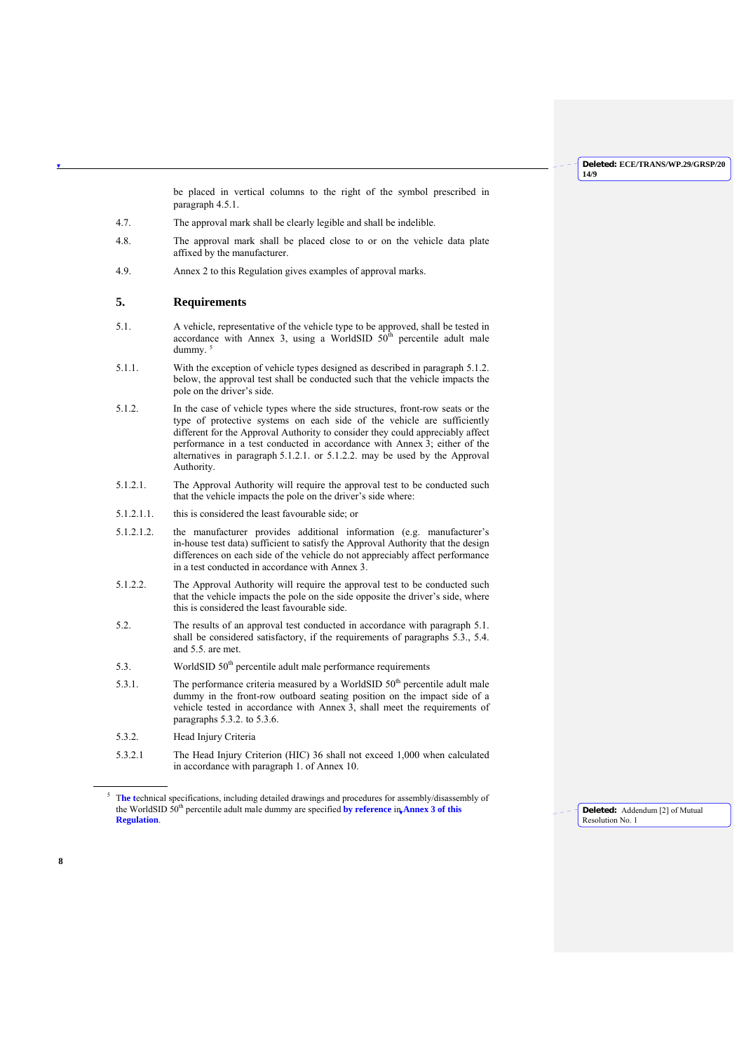be placed in vertical columns to the right of the symbol prescribed in paragraph 4.5.1.

- 4.7. The approval mark shall be clearly legible and shall be indelible.
- 4.8. The approval mark shall be placed close to or on the vehicle data plate affixed by the manufacturer.
- 4.9. Annex 2 to this Regulation gives examples of approval marks.

## **5. Requirements**

- 5.1. A vehicle, representative of the vehicle type to be approved, shall be tested in accordance with Annex 3, using a WorldSID  $50<sup>th</sup>$  percentile adult male dummy
- 5.1.1. With the exception of vehicle types designed as described in paragraph 5.1.2. below, the approval test shall be conducted such that the vehicle impacts the pole on the driver's side.
- 5.1.2. In the case of vehicle types where the side structures, front-row seats or the type of protective systems on each side of the vehicle are sufficiently different for the Approval Authority to consider they could appreciably affect performance in a test conducted in accordance with Annex 3; either of the alternatives in paragraph 5.1.2.1. or 5.1.2.2. may be used by the Approval Authority.
- 5.1.2.1. The Approval Authority will require the approval test to be conducted such that the vehicle impacts the pole on the driver's side where:
- 5.1.2.1.1. this is considered the least favourable side; or
- 5.1.2.1.2. the manufacturer provides additional information (e.g. manufacturer's in-house test data) sufficient to satisfy the Approval Authority that the design differences on each side of the vehicle do not appreciably affect performance in a test conducted in accordance with Annex 3.
- 5.1.2.2. The Approval Authority will require the approval test to be conducted such that the vehicle impacts the pole on the side opposite the driver's side, where this is considered the least favourable side.
- 5.2. The results of an approval test conducted in accordance with paragraph 5.1. shall be considered satisfactory, if the requirements of paragraphs 5.3., 5.4. and 5.5. are met.
- 5.3. WorldSID  $50<sup>th</sup>$  percentile adult male performance requirements
- 5.3.1. The performance criteria measured by a WorldSID  $50<sup>th</sup>$  percentile adult male dummy in the front-row outboard seating position on the impact side of a vehicle tested in accordance with Annex 3, shall meet the requirements of paragraphs 5.3.2. to 5.3.6.
- 5.3.2. Head Injury Criteria

**8**

l

5.3.2.1 The Head Injury Criterion (HIC) 36 shall not exceed 1,000 when calculated in accordance with paragraph 1. of Annex 10.

**Deleted:** Addendum [2] of Mutual Resolution No. 1

<sup>5</sup> T**he t**echnical specifications, including detailed drawings and procedures for assembly/disassembly of the WorldSID 50th percentile adult male dummy are specified **by reference** in **Annex 3 of this Regulation**.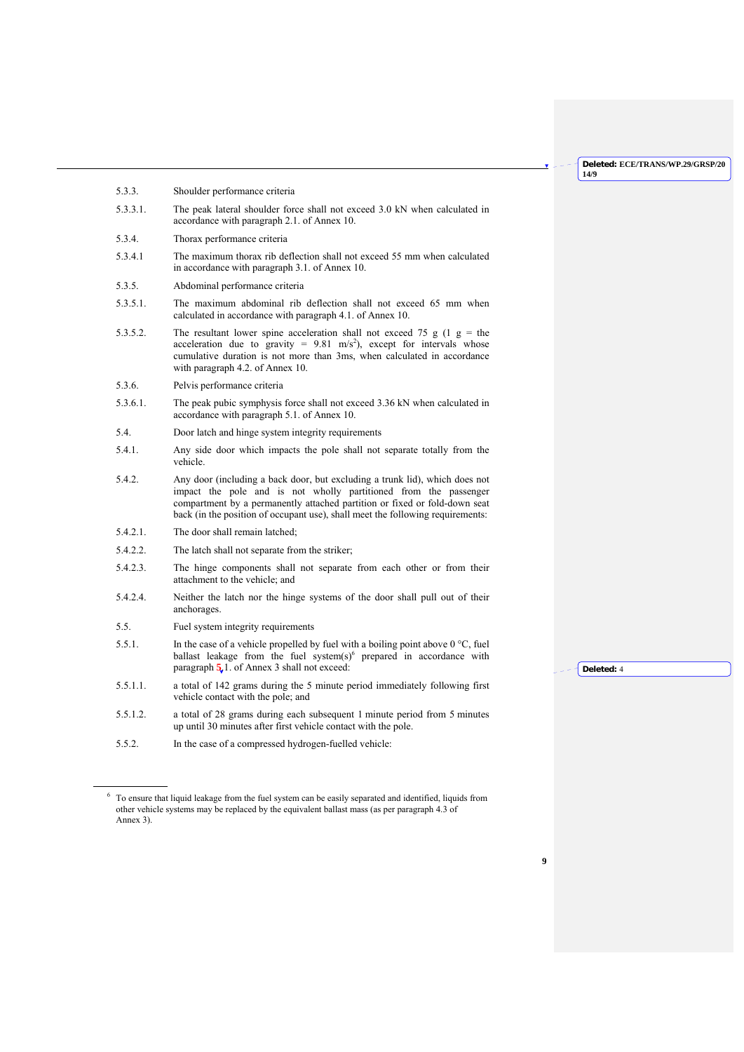|             |                                                                                                                                                                                                                                                                                                                 | 14/9       |
|-------------|-----------------------------------------------------------------------------------------------------------------------------------------------------------------------------------------------------------------------------------------------------------------------------------------------------------------|------------|
| 5.3.3.      | Shoulder performance criteria                                                                                                                                                                                                                                                                                   |            |
| 5.3.3.1.    | The peak lateral shoulder force shall not exceed 3.0 kN when calculated in<br>accordance with paragraph 2.1. of Annex 10.                                                                                                                                                                                       |            |
| 5.3.4.      | Thorax performance criteria                                                                                                                                                                                                                                                                                     |            |
| 5.3.4.1     | The maximum thorax rib deflection shall not exceed 55 mm when calculated<br>in accordance with paragraph 3.1. of Annex 10.                                                                                                                                                                                      |            |
| 5.3.5.      | Abdominal performance criteria                                                                                                                                                                                                                                                                                  |            |
| $5.3.5.1$ . | The maximum abdominal rib deflection shall not exceed 65 mm when<br>calculated in accordance with paragraph 4.1. of Annex 10.                                                                                                                                                                                   |            |
| 5.3.5.2.    | The resultant lower spine acceleration shall not exceed 75 g (1 g = the<br>acceleration due to gravity = $9.81 \text{ m/s}^2$ ), except for intervals whose<br>cumulative duration is not more than 3ms, when calculated in accordance<br>with paragraph 4.2. of Annex 10.                                      |            |
| 5.3.6.      | Pelvis performance criteria                                                                                                                                                                                                                                                                                     |            |
| 5.3.6.1.    | The peak pubic symphysis force shall not exceed 3.36 kN when calculated in<br>accordance with paragraph 5.1. of Annex 10.                                                                                                                                                                                       |            |
| 5.4.        | Door latch and hinge system integrity requirements                                                                                                                                                                                                                                                              |            |
| 5.4.1.      | Any side door which impacts the pole shall not separate totally from the<br>vehicle.                                                                                                                                                                                                                            |            |
| 5.4.2.      | Any door (including a back door, but excluding a trunk lid), which does not<br>impact the pole and is not wholly partitioned from the passenger<br>compartment by a permanently attached partition or fixed or fold-down seat<br>back (in the position of occupant use), shall meet the following requirements: |            |
| 5.4.2.1.    | The door shall remain latched;                                                                                                                                                                                                                                                                                  |            |
| 5.4.2.2.    | The latch shall not separate from the striker;                                                                                                                                                                                                                                                                  |            |
| 5.4.2.3.    | The hinge components shall not separate from each other or from their<br>attachment to the vehicle; and                                                                                                                                                                                                         |            |
| 5.4.2.4.    | Neither the latch nor the hinge systems of the door shall pull out of their<br>anchorages.                                                                                                                                                                                                                      |            |
| 5.5.        | Fuel system integrity requirements                                                                                                                                                                                                                                                                              |            |
| 5.5.1.      | In the case of a vehicle propelled by fuel with a boiling point above $0^{\circ}C$ , fuel<br>ballast leakage from the fuel system(s) $6$ prepared in accordance with<br>paragraph $\overline{5}$ , 1. of Annex 3 shall not exceed:                                                                              | Deleted: 4 |
| 5.5.1.1.    | a total of 142 grams during the 5 minute period immediately following first<br>vehicle contact with the pole; and                                                                                                                                                                                               |            |
| 5.5.1.2.    | a total of 28 grams during each subsequent 1 minute period from 5 minutes<br>up until 30 minutes after first vehicle contact with the pole.                                                                                                                                                                     |            |
| 5.5.2.      | In the case of a compressed hydrogen-fuelled vehicle:                                                                                                                                                                                                                                                           |            |
| Annex 3).   | <sup>6</sup> To ensure that liquid leakage from the fuel system can be easily separated and identified, liquids from<br>other vehicle systems may be replaced by the equivalent ballast mass (as per paragraph 4.3 of                                                                                           |            |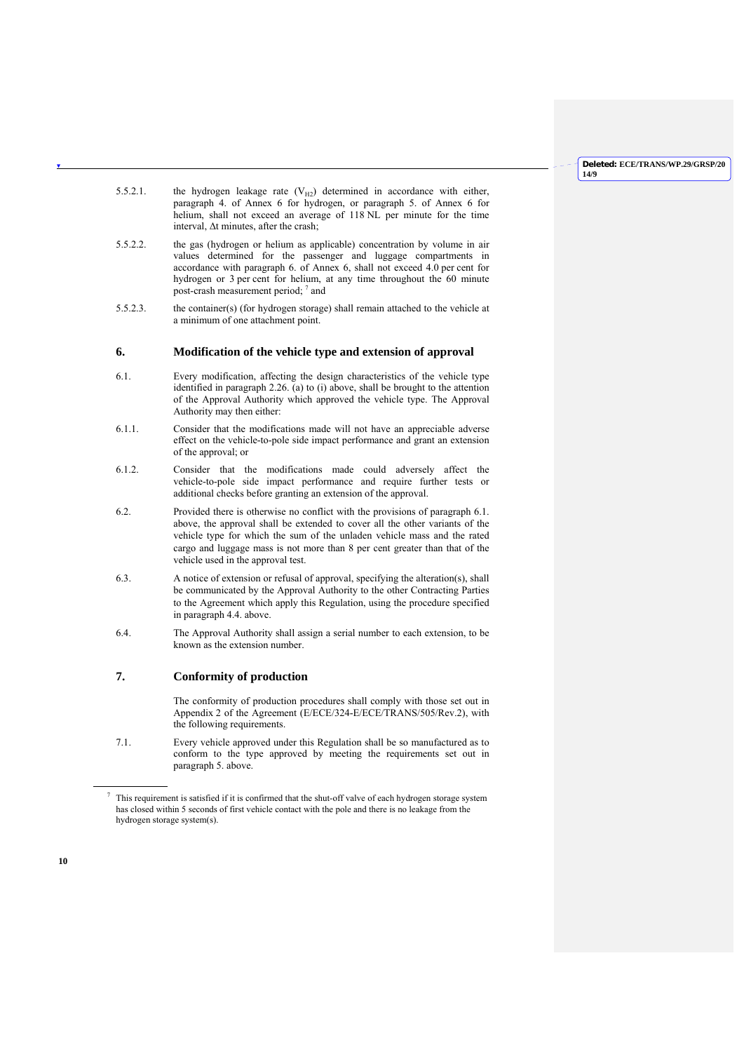- 5.5.2.1. the hydrogen leakage rate  $(V_{H2})$  determined in accordance with either, paragraph 4. of Annex 6 for hydrogen, or paragraph 5. of Annex 6 for helium, shall not exceed an average of 118 NL per minute for the time interval, Δt minutes, after the crash;
- 5.5.2.2. the gas (hydrogen or helium as applicable) concentration by volume in air values determined for the passenger and luggage compartments in accordance with paragraph 6. of Annex 6, shall not exceed 4.0 per cent for hydrogen or 3 per cent for helium, at any time throughout the 60 minute post-crash measurement period; 7 and
- 5.5.2.3. the container(s) (for hydrogen storage) shall remain attached to the vehicle at a minimum of one attachment point.

## **6. Modification of the vehicle type and extension of approval**

- 6.1. Every modification, affecting the design characteristics of the vehicle type identified in paragraph 2.26. (a) to (i) above, shall be brought to the attention of the Approval Authority which approved the vehicle type. The Approval Authority may then either:
- 6.1.1. Consider that the modifications made will not have an appreciable adverse effect on the vehicle-to-pole side impact performance and grant an extension of the approval; or
- 6.1.2. Consider that the modifications made could adversely affect the vehicle-to-pole side impact performance and require further tests or additional checks before granting an extension of the approval.
- 6.2. Provided there is otherwise no conflict with the provisions of paragraph 6.1. above, the approval shall be extended to cover all the other variants of the vehicle type for which the sum of the unladen vehicle mass and the rated cargo and luggage mass is not more than 8 per cent greater than that of the vehicle used in the approval test.
- 6.3. A notice of extension or refusal of approval, specifying the alteration(s), shall be communicated by the Approval Authority to the other Contracting Parties to the Agreement which apply this Regulation, using the procedure specified in paragraph 4.4. above.
- 6.4. The Approval Authority shall assign a serial number to each extension, to be known as the extension number.

## **7. Conformity of production**

 The conformity of production procedures shall comply with those set out in Appendix 2 of the Agreement (E/ECE/324-E/ECE/TRANS/505/Rev.2), with the following requirements.

7.1. Every vehicle approved under this Regulation shall be so manufactured as to conform to the type approved by meeting the requirements set out in paragraph 5. above.

l

 $\frac{7}{10}$  This requirement is satisfied if it is confirmed that the shut-off valve of each hydrogen storage system has closed within 5 seconds of first vehicle contact with the pole and there is no leakage from the hydrogen storage system(s).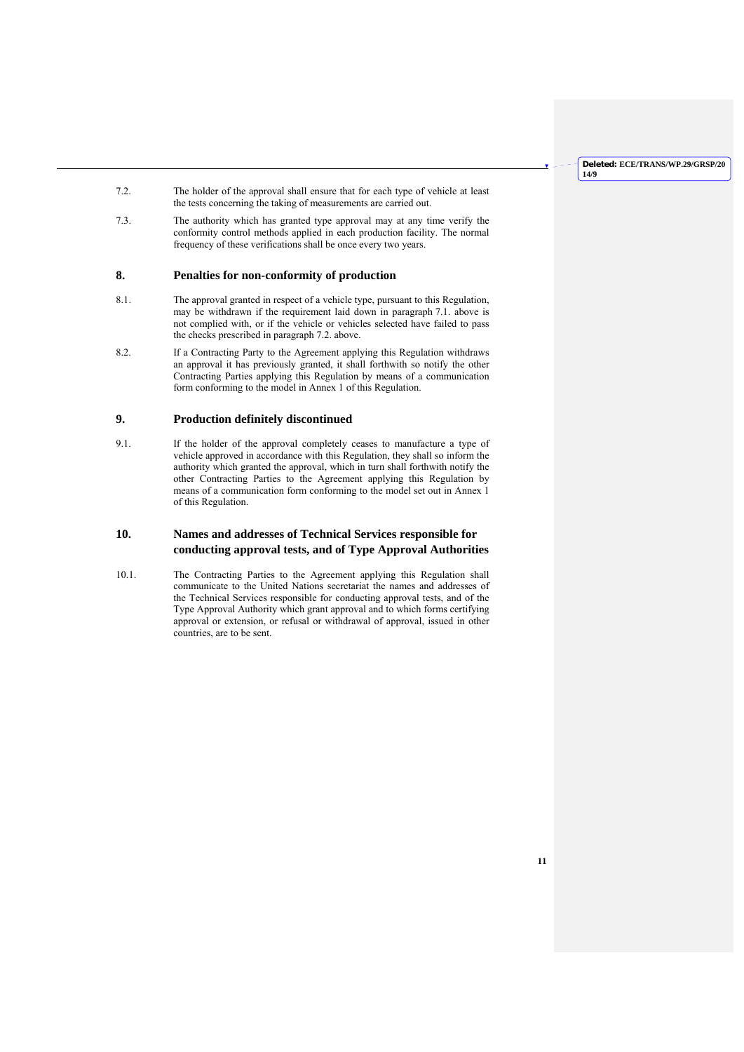- 7.2. The holder of the approval shall ensure that for each type of vehicle at least the tests concerning the taking of measurements are carried out.
- 7.3. The authority which has granted type approval may at any time verify the conformity control methods applied in each production facility. The normal frequency of these verifications shall be once every two years.

## **8. Penalties for non-conformity of production**

- 8.1. The approval granted in respect of a vehicle type, pursuant to this Regulation, may be withdrawn if the requirement laid down in paragraph 7.1. above is not complied with, or if the vehicle or vehicles selected have failed to pass the checks prescribed in paragraph 7.2. above.
- 8.2. If a Contracting Party to the Agreement applying this Regulation withdraws an approval it has previously granted, it shall forthwith so notify the other Contracting Parties applying this Regulation by means of a communication form conforming to the model in Annex 1 of this Regulation.

## **9. Production definitely discontinued**

9.1. If the holder of the approval completely ceases to manufacture a type of vehicle approved in accordance with this Regulation, they shall so inform the authority which granted the approval, which in turn shall forthwith notify the other Contracting Parties to the Agreement applying this Regulation by means of a communication form conforming to the model set out in Annex 1 of this Regulation.

## **10. Names and addresses of Technical Services responsible for conducting approval tests, and of Type Approval Authorities**

10.1. The Contracting Parties to the Agreement applying this Regulation shall communicate to the United Nations secretariat the names and addresses of the Technical Services responsible for conducting approval tests, and of the Type Approval Authority which grant approval and to which forms certifying approval or extension, or refusal or withdrawal of approval, issued in other countries, are to be sent.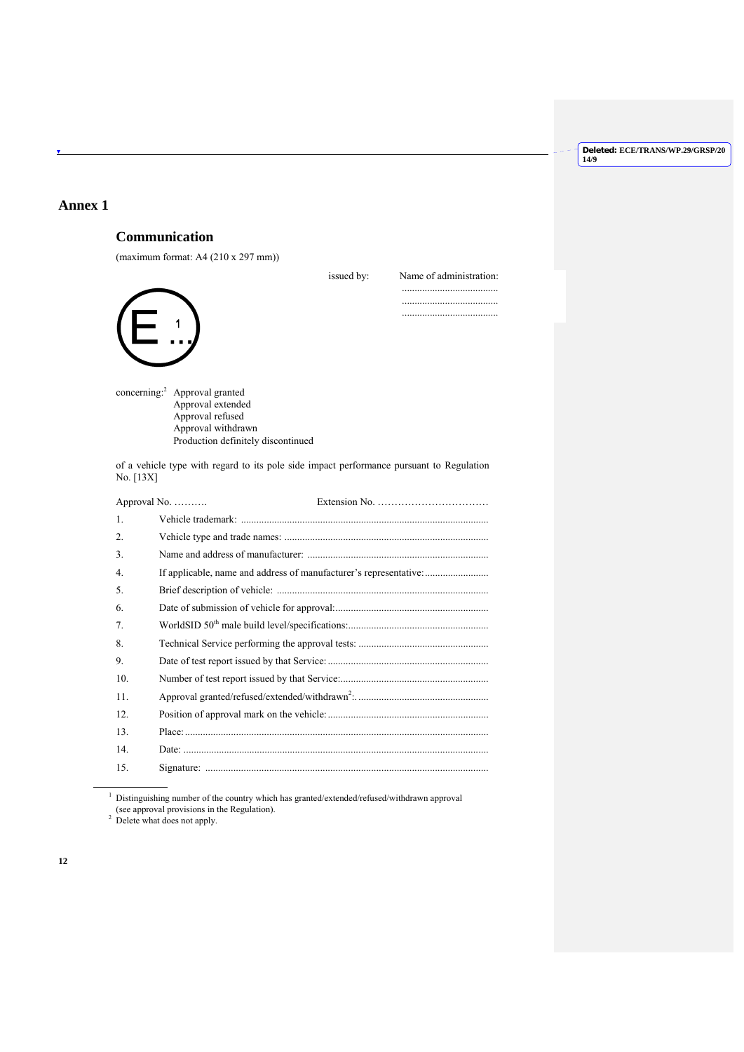## **Annex 1**

# **Communication**

(maximum format: A4 (210 x 297 mm))



...................................... ......................................



concerning:2 Approval granted Approval extended Approval refused Approval withdrawn Production definitely discontinued

of a vehicle type with regard to its pole side impact performance pursuant to Regulation No. [13X]

|     | Approval No.<br>Extension No. $\dots \dots \dots \dots \dots \dots \dots \dots \dots$ |
|-----|---------------------------------------------------------------------------------------|
| 1.  |                                                                                       |
| 2.  |                                                                                       |
| 3.  |                                                                                       |
| 4.  | If applicable, name and address of manufacturer's representative:                     |
| 5.  |                                                                                       |
| 6.  |                                                                                       |
| 7.  |                                                                                       |
| 8.  |                                                                                       |
| 9.  |                                                                                       |
| 10. |                                                                                       |
| 11. |                                                                                       |
| 12. |                                                                                       |
| 13. |                                                                                       |
| 14. |                                                                                       |
| 15. |                                                                                       |

 $^{\rm 1}$  Distinguishing number of the country which has granted/extended/refused/withdrawn approval (see approval provisions in the Regulation).<br> $2$  Delete what does not apply.

 $\overline{\phantom{a}}$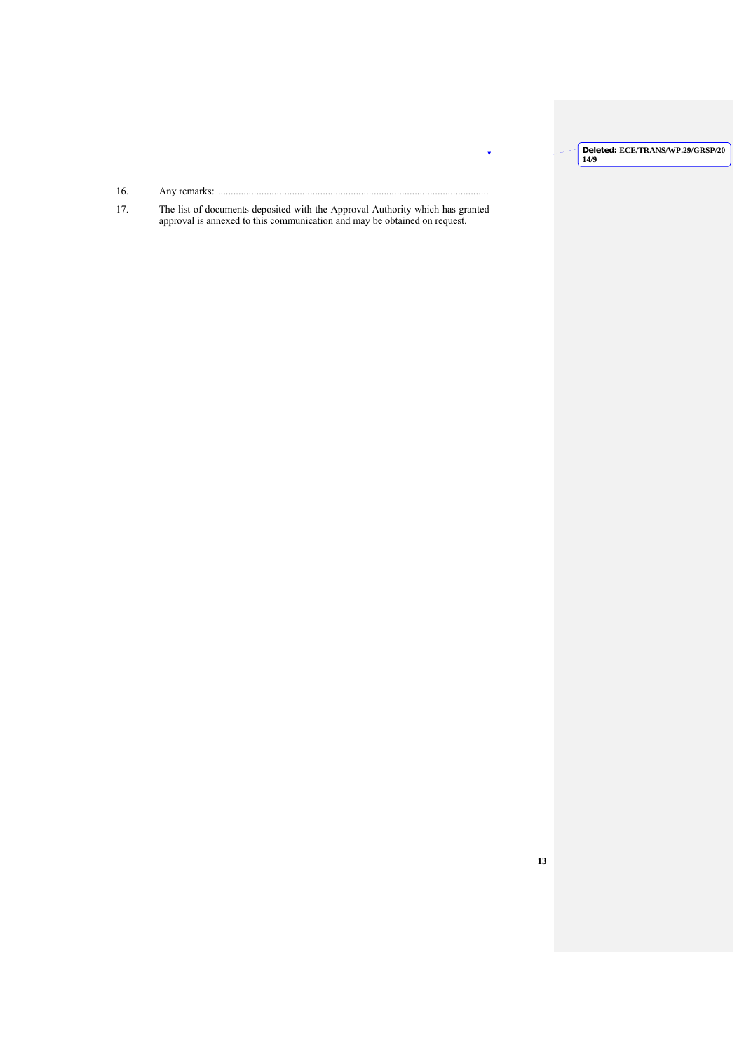- 16. Any remarks: ..........................................................................................................
- 17. The list of documents deposited with the Approval Authority which has granted approval is annexed to this communication and may be obtained on request.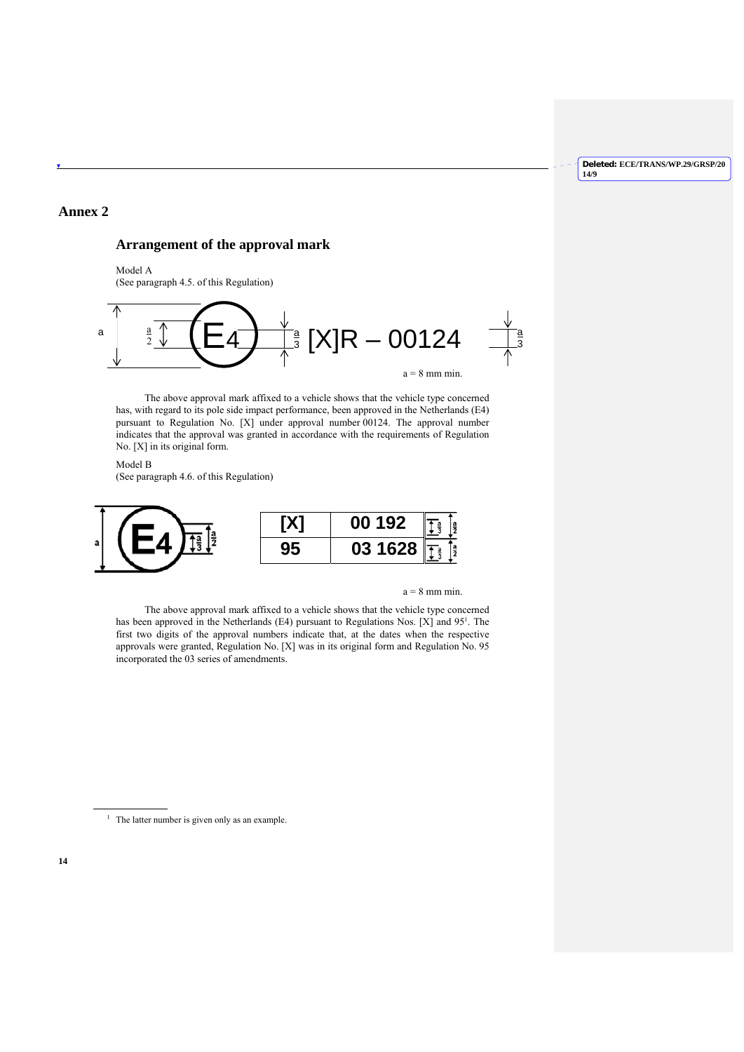## **Annex 2**

## **Arrangement of the approval mark**

Model A (See paragraph 4.5. of this Regulation)



 The above approval mark affixed to a vehicle shows that the vehicle type concerned has, with regard to its pole side impact performance, been approved in the Netherlands (E4) pursuant to Regulation No. [X] under approval number 00124. The approval number indicates that the approval was granted in accordance with the requirements of Regulation No. [X] in its original form.

Model B (See paragraph 4.6. of this Regulation)



 $a = 8$  mm min.

 The above approval mark affixed to a vehicle shows that the vehicle type concerned has been approved in the Netherlands (E4) pursuant to Regulations Nos. [X] and  $95<sup>1</sup>$ . The first two digits of the approval numbers indicate that, at the dates when the respective approvals were granted, Regulation No. [X] was in its original form and Regulation No. 95 incorporated the 03 series of amendments.

<sup>1</sup> The latter number is given only as an example.

 $\overline{a}$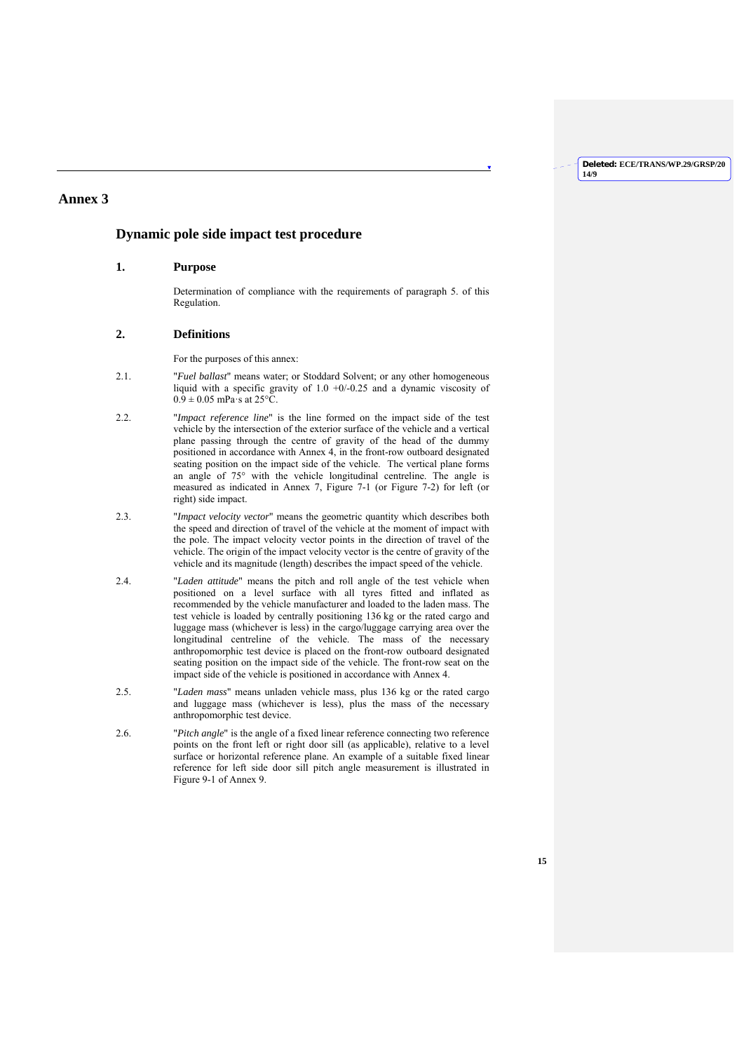## **Annex 3**

## **Dynamic pole side impact test procedure**

## **1. Purpose**

Determination of compliance with the requirements of paragraph 5. of this Regulation.

## **2. Definitions**

For the purposes of this annex:

- 2.1. "*Fuel ballast*" means water; or Stoddard Solvent; or any other homogeneous liquid with a specific gravity of 1.0 +0/-0.25 and a dynamic viscosity of  $0.9 \pm 0.05$  mPa·s at 25°C.
- 2.2. "*Impact reference line*" is the line formed on the impact side of the test vehicle by the intersection of the exterior surface of the vehicle and a vertical plane passing through the centre of gravity of the head of the dummy positioned in accordance with Annex 4, in the front-row outboard designated seating position on the impact side of the vehicle. The vertical plane forms an angle of 75° with the vehicle longitudinal centreline. The angle is measured as indicated in Annex 7, Figure 7-1 (or Figure 7-2) for left (or right) side impact.
- 2.3. "*Impact velocity vector*" means the geometric quantity which describes both the speed and direction of travel of the vehicle at the moment of impact with the pole. The impact velocity vector points in the direction of travel of the vehicle. The origin of the impact velocity vector is the centre of gravity of the vehicle and its magnitude (length) describes the impact speed of the vehicle.
- 2.4. "*Laden attitude*" means the pitch and roll angle of the test vehicle when positioned on a level surface with all tyres fitted and inflated as recommended by the vehicle manufacturer and loaded to the laden mass. The test vehicle is loaded by centrally positioning 136 kg or the rated cargo and luggage mass (whichever is less) in the cargo/luggage carrying area over the longitudinal centreline of the vehicle. The mass of the necessary anthropomorphic test device is placed on the front-row outboard designated seating position on the impact side of the vehicle. The front-row seat on the impact side of the vehicle is positioned in accordance with Annex 4.
- 2.5. "*Laden mass*" means unladen vehicle mass, plus 136 kg or the rated cargo and luggage mass (whichever is less), plus the mass of the necessary anthropomorphic test device.
- 2.6. "*Pitch angle*" is the angle of a fixed linear reference connecting two reference points on the front left or right door sill (as applicable), relative to a level surface or horizontal reference plane. An example of a suitable fixed linear reference for left side door sill pitch angle measurement is illustrated in Figure 9-1 of Annex 9.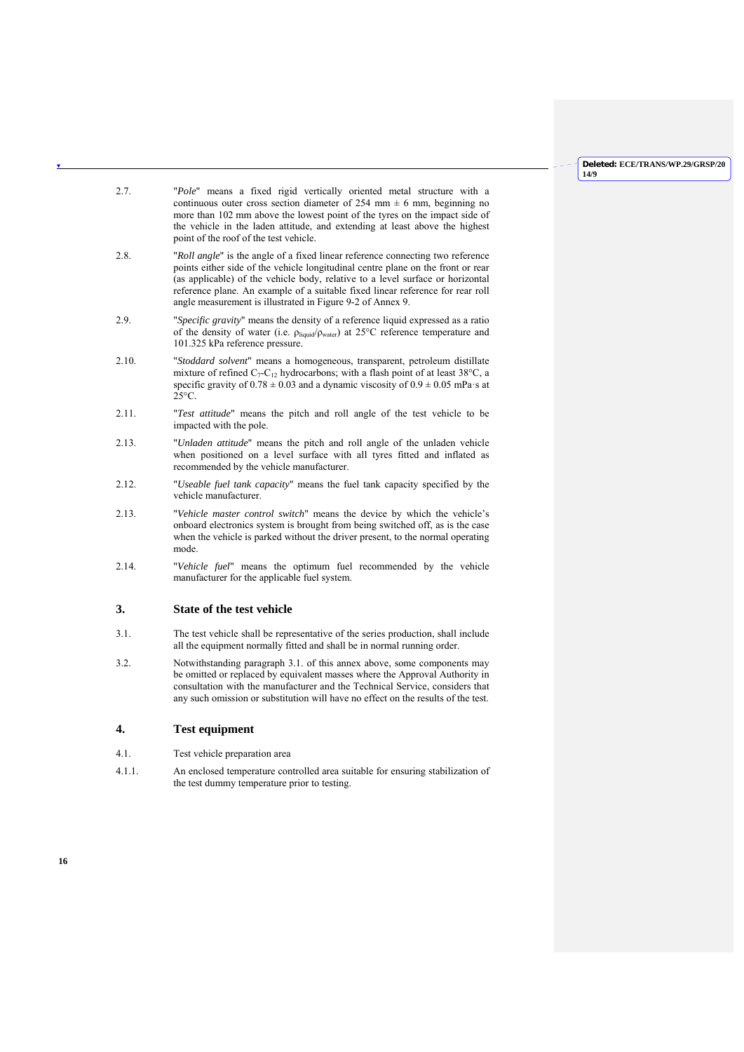- 2.7. "*Pole*" means a fixed rigid vertically oriented metal structure with a continuous outer cross section diameter of 254 mm  $\pm$  6 mm, beginning no more than 102 mm above the lowest point of the tyres on the impact side of the vehicle in the laden attitude, and extending at least above the highest point of the roof of the test vehicle.
- 2.8. "*Roll angle*" is the angle of a fixed linear reference connecting two reference points either side of the vehicle longitudinal centre plane on the front or rear (as applicable) of the vehicle body, relative to a level surface or horizontal reference plane. An example of a suitable fixed linear reference for rear roll angle measurement is illustrated in Figure 9-2 of Annex 9.
- 2.9. "*Specific gravity*" means the density of a reference liquid expressed as a ratio of the density of water (i.e. ρliquid/ρwater) at 25°C reference temperature and 101.325 kPa reference pressure.
- 2.10. "*Stoddard solvent*" means a homogeneous, transparent, petroleum distillate mixture of refined  $C_7-C_{12}$  hydrocarbons; with a flash point of at least 38°C, a specific gravity of  $0.78 \pm 0.03$  and a dynamic viscosity of  $0.9 \pm 0.05$  mPa·s at  $25^{\circ}$ C.
- 2.11. "*Test attitude*" means the pitch and roll angle of the test vehicle to be impacted with the pole.
- 2.13. "*Unladen attitude*" means the pitch and roll angle of the unladen vehicle when positioned on a level surface with all tyres fitted and inflated as recommended by the vehicle manufacturer.
- 2.12. "*Useable fuel tank capacity*" means the fuel tank capacity specified by the vehicle manufacturer.
- 2.13. "*Vehicle master control switch*" means the device by which the vehicle's onboard electronics system is brought from being switched off, as is the case when the vehicle is parked without the driver present, to the normal operating mode.
- 2.14. "*Vehicle fuel*" means the optimum fuel recommended by the vehicle manufacturer for the applicable fuel system.

## **3. State of the test vehicle**

- 3.1. The test vehicle shall be representative of the series production, shall include all the equipment normally fitted and shall be in normal running order.
- 3.2. Notwithstanding paragraph 3.1. of this annex above, some components may be omitted or replaced by equivalent masses where the Approval Authority in consultation with the manufacturer and the Technical Service, considers that any such omission or substitution will have no effect on the results of the test.

## **4. Test equipment**

- 4.1. Test vehicle preparation area
- 4.1.1. An enclosed temperature controlled area suitable for ensuring stabilization of the test dummy temperature prior to testing.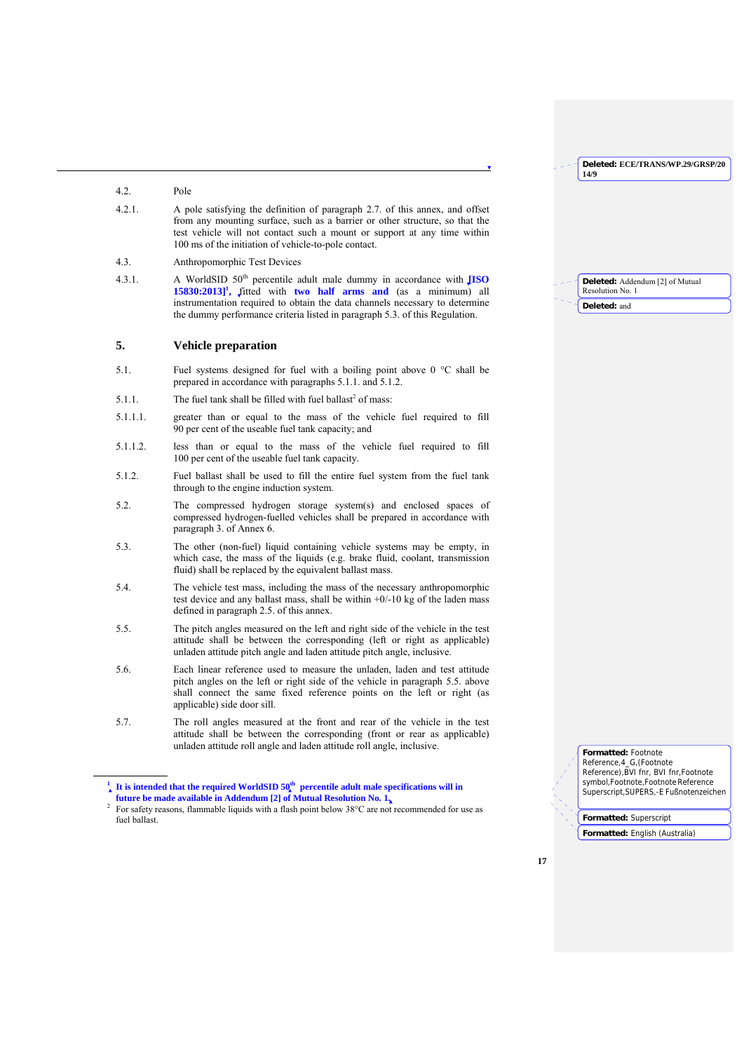**14/9**

### 4.2. Pole

 $\overline{\phantom{a}}$ 

- 4.2.1. A pole satisfying the definition of paragraph 2.7. of this annex, and offset from any mounting surface, such as a barrier or other structure, so that the test vehicle will not contact such a mount or support at any time within 100 ms of the initiation of vehicle-to-pole contact.
- 4.3. Anthropomorphic Test Devices
- 4.3.1. A WorldSID 50<sup>th</sup> percentile adult male dummy in accordance with **[ISO** 15830:2013]<sup>1</sup>, fitted with two half arms and (as a minimum) all instrumentation required to obtain the data channels necessary to determine the dummy performance criteria listed in paragraph 5.3. of this Regulation.

## **5. Vehicle preparation**

- 5.1. Fuel systems designed for fuel with a boiling point above 0 °C shall be prepared in accordance with paragraphs 5.1.1. and 5.1.2.
- $5.1.1.$  The fuel tank shall be filled with fuel ballast<sup>2</sup> of mass:
- 5.1.1.1. greater than or equal to the mass of the vehicle fuel required to fill 90 per cent of the useable fuel tank capacity; and
- 5.1.1.2. less than or equal to the mass of the vehicle fuel required to fill 100 per cent of the useable fuel tank capacity.
- 5.1.2. Fuel ballast shall be used to fill the entire fuel system from the fuel tank through to the engine induction system.
- 5.2. The compressed hydrogen storage system(s) and enclosed spaces of compressed hydrogen-fuelled vehicles shall be prepared in accordance with paragraph 3. of Annex 6.
- 5.3. The other (non-fuel) liquid containing vehicle systems may be empty, in which case, the mass of the liquids (e.g. brake fluid, coolant, transmission fluid) shall be replaced by the equivalent ballast mass.
- 5.4. The vehicle test mass, including the mass of the necessary anthropomorphic test device and any ballast mass, shall be within  $+0/-10$  kg of the laden mass defined in paragraph 2.5. of this annex.
- 5.5. The pitch angles measured on the left and right side of the vehicle in the test attitude shall be between the corresponding (left or right as applicable) unladen attitude pitch angle and laden attitude pitch angle, inclusive.
- 5.6. Each linear reference used to measure the unladen, laden and test attitude pitch angles on the left or right side of the vehicle in paragraph 5.5. above shall connect the same fixed reference points on the left or right (as applicable) side door sill.
- 5.7. The roll angles measured at the front and rear of the vehicle in the test attitude shall be between the corresponding (front or rear as applicable) unladen attitude roll angle and laden attitude roll angle, inclusive.

| <b>Deleted:</b> Addendum [2] of Mutual<br>Resolution No. 1 |
|------------------------------------------------------------|
| Deleted: and                                               |

**Deleted: ECE/TRANS/WP.29/GRSP/20**

**Formatted:** Footnote

Reference,4\_G,(Footnote Reference), BVI fnr, BVI fnr, Footnote symbol,Footnote,Footnote Reference Superscript,SUPERS,-E Fußnotenzeichen

**Formatted:** Superscript

**Formatted:** English (Australia)

 $\frac{1}{4}$  It is intended that the required WorldSID 50<sup>th</sup> percentile adult male specifications will in **future be made available in Addendum [2] of Mutual Resolution No. 1.**

<sup>&</sup>lt;sup>2</sup> For safety reasons, flammable liquids with a flash point below  $38^{\circ}$ C are not recommended for use as fuel ballast.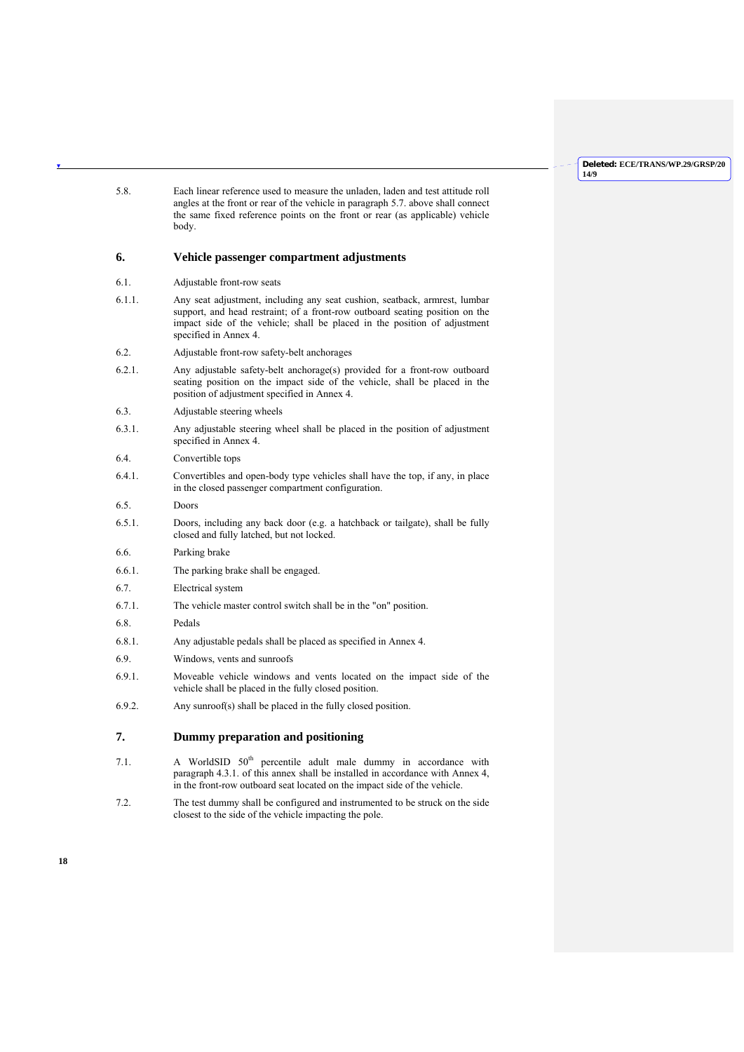| 5.8.      | Each linear reference used to measure the unladen, laden and test attitude roll<br>angles at the front or rear of the vehicle in paragraph 5.7, above shall connect<br>the same fixed reference points on the front or rear (as applicable) vehicle<br>body.     |
|-----------|------------------------------------------------------------------------------------------------------------------------------------------------------------------------------------------------------------------------------------------------------------------|
| 6.        | Vehicle passenger compartment adjustments                                                                                                                                                                                                                        |
| 6.1.      | Adjustable front-row seats                                                                                                                                                                                                                                       |
| 6.1.1.    | Any seat adjustment, including any seat cushion, seatback, armrest, lumbar<br>support, and head restraint; of a front-row outboard seating position on the<br>impact side of the vehicle; shall be placed in the position of adjustment<br>specified in Annex 4. |
| 6.2.      | Adjustable front-row safety-belt anchorages                                                                                                                                                                                                                      |
| 6.2.1.    | Any adjustable safety-belt anchorage(s) provided for a front-row outboard<br>seating position on the impact side of the vehicle, shall be placed in the<br>position of adjustment specified in Annex 4.                                                          |
| 6.3.      | Adjustable steering wheels                                                                                                                                                                                                                                       |
| 6.3.1.    | Any adjustable steering wheel shall be placed in the position of adjustment<br>specified in Annex 4.                                                                                                                                                             |
| 6.4.      | Convertible tops                                                                                                                                                                                                                                                 |
| $6.4.1$ . | Convertibles and open-body type vehicles shall have the top, if any, in place<br>in the closed passenger compartment configuration.                                                                                                                              |
| 6.5.      | Doors                                                                                                                                                                                                                                                            |
| 6.5.1.    | Doors, including any back door (e.g. a hatchback or tailgate), shall be fully<br>closed and fully latched, but not locked.                                                                                                                                       |
| 6.6.      | Parking brake                                                                                                                                                                                                                                                    |
| 6.6.1.    | The parking brake shall be engaged.                                                                                                                                                                                                                              |
| 6.7.      | Electrical system                                                                                                                                                                                                                                                |
| 6.7.1.    | The vehicle master control switch shall be in the "on" position.                                                                                                                                                                                                 |
| 6.8.      | Pedals                                                                                                                                                                                                                                                           |
| 6.8.1.    | Any adjustable pedals shall be placed as specified in Annex 4.                                                                                                                                                                                                   |
| 6.9.      | Windows, vents and sunroofs                                                                                                                                                                                                                                      |
| 6.9.1.    | Moveable vehicle windows and vents located on the impact side of the<br>vehicle shall be placed in the fully closed position.                                                                                                                                    |
| 6.9.2.    | Any sunroof(s) shall be placed in the fully closed position.                                                                                                                                                                                                     |
| 7.        | Dummy preparation and positioning                                                                                                                                                                                                                                |

- 7.1. A WorldSID  $50<sup>th</sup>$  percentile adult male dummy in accordance with paragraph 4.3.1. of this annex shall be installed in accordance with Annex 4, in the front-row outboard seat located on the impact side of the vehicle.
- 7.2. The test dummy shall be configured and instrumented to be struck on the side closest to the side of the vehicle impacting the pole.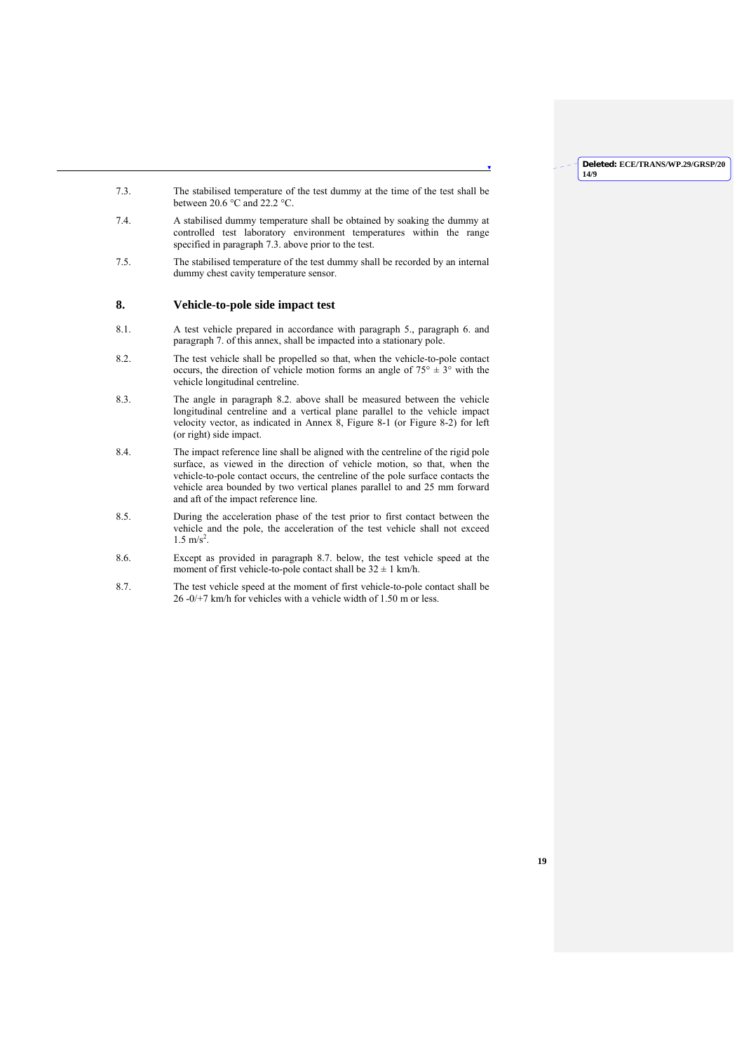- 7.3. The stabilised temperature of the test dummy at the time of the test shall be between 20.6 °C and 22.2 °C.
- 7.4. A stabilised dummy temperature shall be obtained by soaking the dummy at controlled test laboratory environment temperatures within the range specified in paragraph 7.3. above prior to the test.
- 7.5. The stabilised temperature of the test dummy shall be recorded by an internal dummy chest cavity temperature sensor.

## **8. Vehicle-to-pole side impact test**

- 8.1. A test vehicle prepared in accordance with paragraph 5., paragraph 6. and paragraph 7. of this annex, shall be impacted into a stationary pole.
- 8.2. The test vehicle shall be propelled so that, when the vehicle-to-pole contact occurs, the direction of vehicle motion forms an angle of  $75^{\circ} \pm 3^{\circ}$  with the vehicle longitudinal centreline.
- 8.3. The angle in paragraph 8.2. above shall be measured between the vehicle longitudinal centreline and a vertical plane parallel to the vehicle impact velocity vector, as indicated in Annex 8, Figure 8-1 (or Figure 8-2) for left (or right) side impact.
- 8.4. The impact reference line shall be aligned with the centreline of the rigid pole surface, as viewed in the direction of vehicle motion, so that, when the vehicle-to-pole contact occurs, the centreline of the pole surface contacts the vehicle area bounded by two vertical planes parallel to and 25 mm forward and aft of the impact reference line.
- 8.5. During the acceleration phase of the test prior to first contact between the vehicle and the pole, the acceleration of the test vehicle shall not exceed  $1.5 \text{ m/s}^2$ .
- 8.6. Except as provided in paragraph 8.7. below, the test vehicle speed at the moment of first vehicle-to-pole contact shall be  $32 \pm 1$  km/h.
- 8.7. The test vehicle speed at the moment of first vehicle-to-pole contact shall be 26 -0/+7 km/h for vehicles with a vehicle width of 1.50 m or less.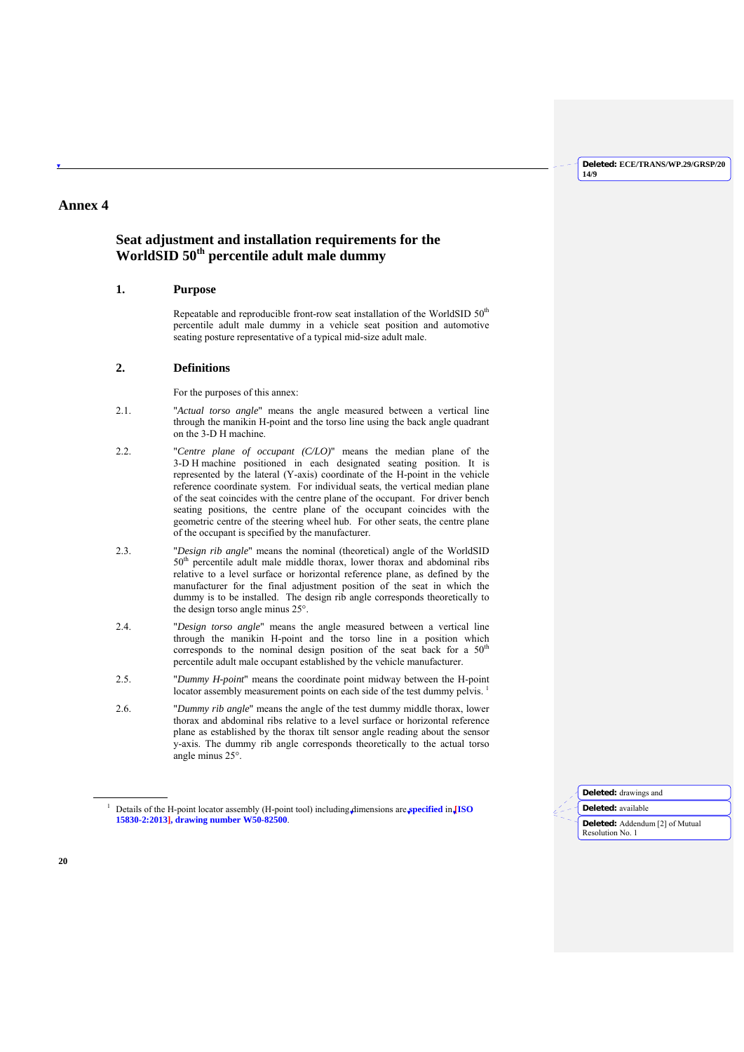## **Annex 4**

## **Seat adjustment and installation requirements for the WorldSID 50th percentile adult male dummy**

## **1. Purpose**

Repeatable and reproducible front-row seat installation of the WorldSID 50<sup>th</sup> percentile adult male dummy in a vehicle seat position and automotive seating posture representative of a typical mid-size adult male.

## **2. Definitions**

For the purposes of this annex:

- 2.1. "*Actual torso angle*" means the angle measured between a vertical line through the manikin H-point and the torso line using the back angle quadrant on the 3-D H machine.
- 2.2. "*Centre plane of occupant (C/LO)*" means the median plane of the 3-D H machine positioned in each designated seating position. It is represented by the lateral (Y-axis) coordinate of the H-point in the vehicle reference coordinate system. For individual seats, the vertical median plane of the seat coincides with the centre plane of the occupant. For driver bench seating positions, the centre plane of the occupant coincides with the geometric centre of the steering wheel hub. For other seats, the centre plane of the occupant is specified by the manufacturer.
- 2.3. "*Design rib angle*" means the nominal (theoretical) angle of the WorldSID 50<sup>th</sup> percentile adult male middle thorax, lower thorax and abdominal ribs relative to a level surface or horizontal reference plane, as defined by the manufacturer for the final adjustment position of the seat in which the dummy is to be installed. The design rib angle corresponds theoretically to the design torso angle minus 25°.
- 2.4. "*Design torso angle*" means the angle measured between a vertical line through the manikin H-point and the torso line in a position which corresponds to the nominal design position of the seat back for a 50<sup>th</sup> percentile adult male occupant established by the vehicle manufacturer.
- 2.5. "*Dummy H-point*" means the coordinate point midway between the H-point locator assembly measurement points on each side of the test dummy pelvis.<sup>1</sup>
- 2.6. "*Dummy rib angle*" means the angle of the test dummy middle thorax, lower thorax and abdominal ribs relative to a level surface or horizontal reference plane as established by the thorax tilt sensor angle reading about the sensor y-axis. The dummy rib angle corresponds theoretically to the actual torso angle minus 25°.



 $\overline{a}$ 

<sup>1</sup> Details of the H-point locator assembly (H-point tool) including dimensions are **specified** in **[ISO 15830-2:2013], drawing number W50-82500**.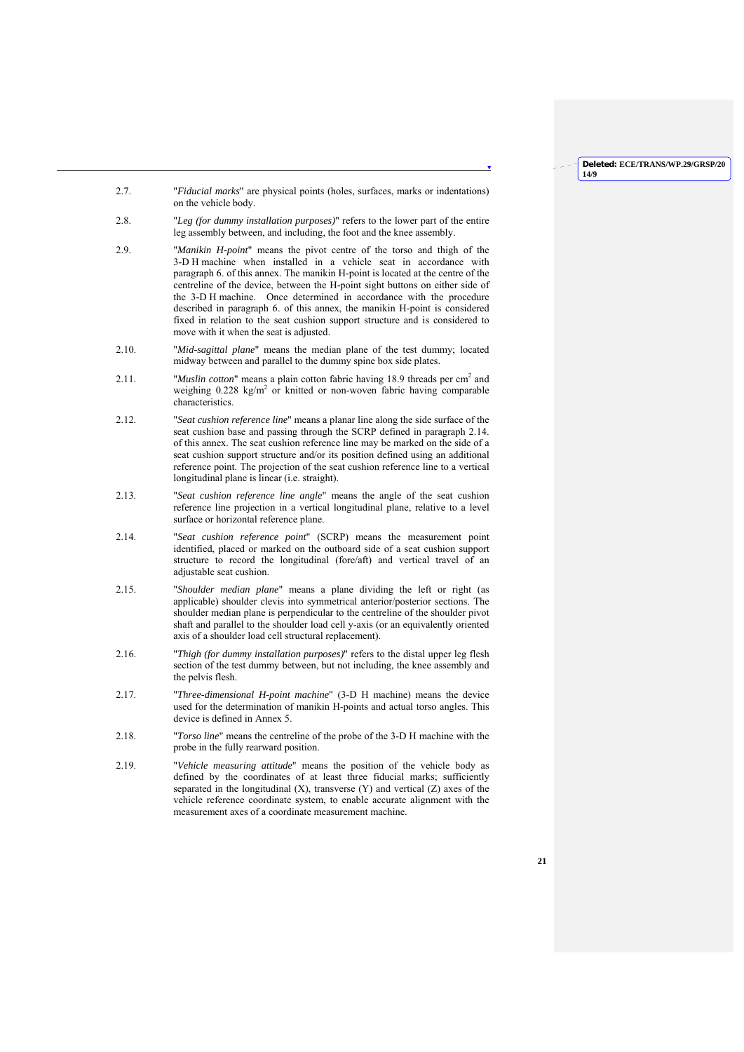- 2.7. "*Fiducial marks*" are physical points (holes, surfaces, marks or indentations) on the vehicle body.
- 2.8. "*Leg (for dummy installation purposes)*" refers to the lower part of the entire leg assembly between, and including, the foot and the knee assembly.
- 2.9. "*Manikin H-point*" means the pivot centre of the torso and thigh of the 3-D H machine when installed in a vehicle seat in accordance with paragraph 6. of this annex. The manikin H-point is located at the centre of the centreline of the device, between the H-point sight buttons on either side of the 3-D H machine. Once determined in accordance with the procedure described in paragraph 6. of this annex, the manikin H-point is considered fixed in relation to the seat cushion support structure and is considered to move with it when the seat is adjusted.
- 2.10. "*Mid-sagittal plane*" means the median plane of the test dummy; located midway between and parallel to the dummy spine box side plates.
- 2.11. "*Muslin cotton*" means a plain cotton fabric having 18.9 threads per  $\text{cm}^2$  and weighing 0.228 kg/m<sup>2</sup> or knitted or non-woven fabric having comparable characteristics.
- 2.12. "*Seat cushion reference line*" means a planar line along the side surface of the seat cushion base and passing through the SCRP defined in paragraph 2.14. of this annex. The seat cushion reference line may be marked on the side of a seat cushion support structure and/or its position defined using an additional reference point. The projection of the seat cushion reference line to a vertical longitudinal plane is linear (i.e. straight).
- 2.13. "*Seat cushion reference line angle*" means the angle of the seat cushion reference line projection in a vertical longitudinal plane, relative to a level surface or horizontal reference plane.
- 2.14. "*Seat cushion reference point*" (SCRP) means the measurement point identified, placed or marked on the outboard side of a seat cushion support structure to record the longitudinal (fore/aft) and vertical travel of an adjustable seat cushion.
- 2.15. "*Shoulder median plane*" means a plane dividing the left or right (as applicable) shoulder clevis into symmetrical anterior/posterior sections. The shoulder median plane is perpendicular to the centreline of the shoulder pivot shaft and parallel to the shoulder load cell y-axis (or an equivalently oriented axis of a shoulder load cell structural replacement).
- 2.16. "*Thigh (for dummy installation purposes)*" refers to the distal upper leg flesh section of the test dummy between, but not including, the knee assembly and the pelvis flesh.
- 2.17. "*Three-dimensional H-point machine*" (3-D H machine) means the device used for the determination of manikin H-points and actual torso angles. This device is defined in Annex 5.
- 2.18. "*Torso line*" means the centreline of the probe of the 3-D H machine with the probe in the fully rearward position.
- 2.19. "*Vehicle measuring attitude*" means the position of the vehicle body as defined by the coordinates of at least three fiducial marks; sufficiently separated in the longitudinal  $(X)$ , transverse  $(Y)$  and vertical  $(Z)$  axes of the vehicle reference coordinate system, to enable accurate alignment with the measurement axes of a coordinate measurement machine.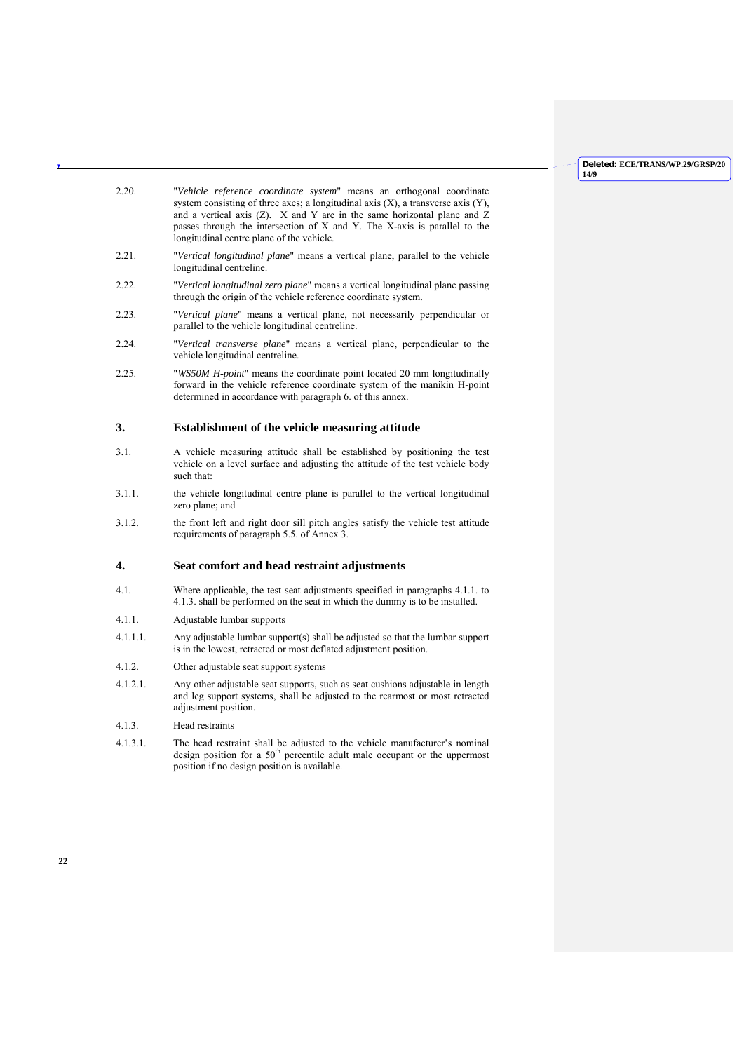| 2.20.    | "Vehicle reference coordinate system" means an orthogonal coordinate<br>system consisting of three axes; a longitudinal axis $(X)$ , a transverse axis $(Y)$ ,<br>and a vertical axis $(Z)$ . X and Y are in the same horizontal plane and Z<br>passes through the intersection of X and Y. The X-axis is parallel to the<br>longitudinal centre plane of the vehicle. |
|----------|------------------------------------------------------------------------------------------------------------------------------------------------------------------------------------------------------------------------------------------------------------------------------------------------------------------------------------------------------------------------|
| 2.21.    | "Vertical longitudinal plane" means a vertical plane, parallel to the vehicle<br>longitudinal centreline.                                                                                                                                                                                                                                                              |
| 2.22.    | "Vertical longitudinal zero plane" means a vertical longitudinal plane passing<br>through the origin of the vehicle reference coordinate system.                                                                                                                                                                                                                       |
| 2.23.    | "Vertical plane" means a vertical plane, not necessarily perpendicular or<br>parallel to the vehicle longitudinal centreline.                                                                                                                                                                                                                                          |
| 2.24.    | "Vertical transverse plane" means a vertical plane, perpendicular to the<br>vehicle longitudinal centreline.                                                                                                                                                                                                                                                           |
| 2.25.    | "WS50M H-point" means the coordinate point located 20 mm longitudinally<br>forward in the vehicle reference coordinate system of the manikin H-point<br>determined in accordance with paragraph 6. of this annex.                                                                                                                                                      |
| 3.       | Establishment of the vehicle measuring attitude                                                                                                                                                                                                                                                                                                                        |
| 3.1.     | A vehicle measuring attitude shall be established by positioning the test<br>vehicle on a level surface and adjusting the attitude of the test vehicle body<br>such that:                                                                                                                                                                                              |
| 3.1.1.   | the vehicle longitudinal centre plane is parallel to the vertical longitudinal<br>zero plane; and                                                                                                                                                                                                                                                                      |
| 3.1.2.   | the front left and right door sill pitch angles satisfy the vehicle test attitude<br>requirements of paragraph 5.5. of Annex 3.                                                                                                                                                                                                                                        |
| 4.       | Seat comfort and head restraint adjustments                                                                                                                                                                                                                                                                                                                            |
| 4.1.     | Where applicable, the test seat adjustments specified in paragraphs 4.1.1. to<br>4.1.3. shall be performed on the seat in which the dummy is to be installed.                                                                                                                                                                                                          |
| 4.1.1.   | Adjustable lumbar supports                                                                                                                                                                                                                                                                                                                                             |
| 4.1.1.1. | Any adjustable lumbar support(s) shall be adjusted so that the lumbar support<br>is in the lowest, retracted or most deflated adjustment position.                                                                                                                                                                                                                     |
| 4.1.2.   | Other adjustable seat support systems                                                                                                                                                                                                                                                                                                                                  |
| 4.1.2.1. | Any other adjustable seat supports, such as seat cushions adjustable in length<br>and leg support systems, shall be adjusted to the rearmost or most retracted<br>adjustment position.                                                                                                                                                                                 |
| 4.1.3.   | Head restraints                                                                                                                                                                                                                                                                                                                                                        |
| 4.1.3.1. | The head restraint shall be adjusted to the vehicle manufacturer's nominal<br>design position for a 50 <sup>th</sup> percentile adult male occupant or the uppermost<br>position if no design position is available.                                                                                                                                                   |
|          |                                                                                                                                                                                                                                                                                                                                                                        |
|          |                                                                                                                                                                                                                                                                                                                                                                        |

 $\mathbf{v}$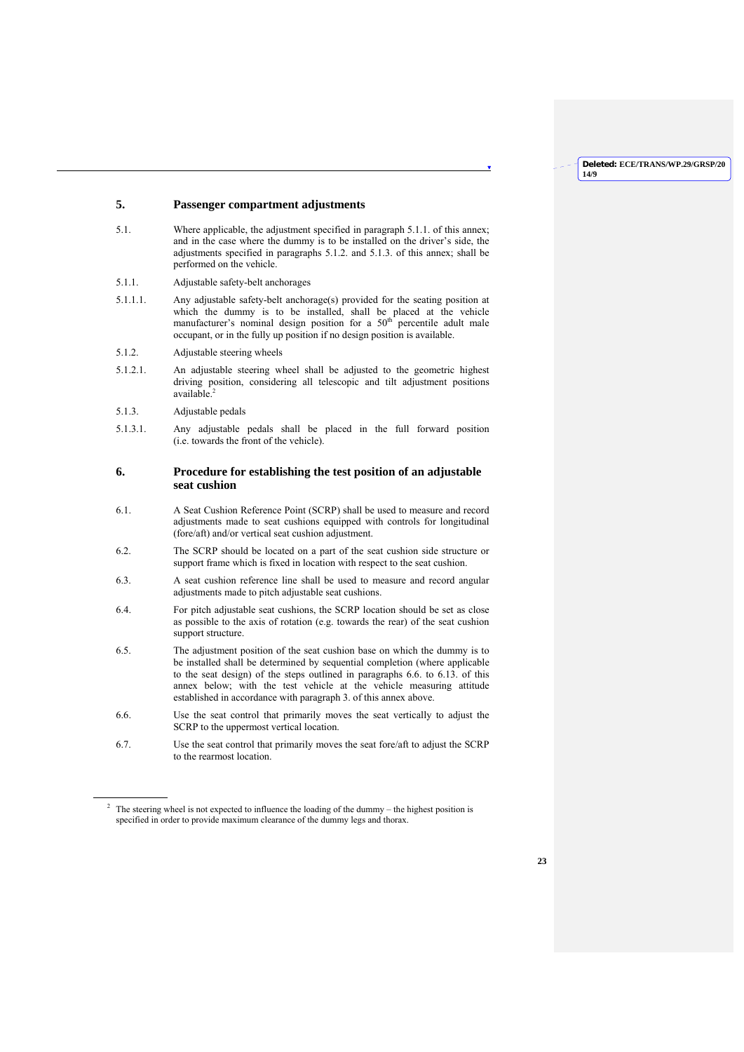**14/9**

## **Deleted: ECE/TRANS/WP.29/GRSP/20**

## **5. Passenger compartment adjustments**

- 5.1. Where applicable, the adjustment specified in paragraph 5.1.1. of this annex; and in the case where the dummy is to be installed on the driver's side, the adjustments specified in paragraphs 5.1.2. and 5.1.3. of this annex; shall be performed on the vehicle.
- 5.1.1. Adjustable safety-belt anchorages
- 5.1.1.1. Any adjustable safety-belt anchorage(s) provided for the seating position at which the dummy is to be installed, shall be placed at the vehicle manufacturer's nominal design position for a  $50<sup>th</sup>$  percentile adult male occupant, or in the fully up position if no design position is available.
- 5.1.2. Adjustable steering wheels
- 5.1.2.1. An adjustable steering wheel shall be adjusted to the geometric highest driving position, considering all telescopic and tilt adjustment positions available.
- 5.1.3. Adjustable pedals

 $\overline{a}$ 

5.1.3.1. Any adjustable pedals shall be placed in the full forward position (i.e. towards the front of the vehicle).

## **6. Procedure for establishing the test position of an adjustable seat cushion**

- 6.1. A Seat Cushion Reference Point (SCRP) shall be used to measure and record adjustments made to seat cushions equipped with controls for longitudinal (fore/aft) and/or vertical seat cushion adjustment.
- 6.2. The SCRP should be located on a part of the seat cushion side structure or support frame which is fixed in location with respect to the seat cushion.
- 6.3. A seat cushion reference line shall be used to measure and record angular adjustments made to pitch adjustable seat cushions.
- 6.4. For pitch adjustable seat cushions, the SCRP location should be set as close as possible to the axis of rotation (e.g. towards the rear) of the seat cushion support structure.
- 6.5. The adjustment position of the seat cushion base on which the dummy is to be installed shall be determined by sequential completion (where applicable to the seat design) of the steps outlined in paragraphs 6.6. to 6.13. of this annex below; with the test vehicle at the vehicle measuring attitude established in accordance with paragraph 3. of this annex above.
- 6.6. Use the seat control that primarily moves the seat vertically to adjust the SCRP to the uppermost vertical location.
- 6.7. Use the seat control that primarily moves the seat fore/aft to adjust the SCRP to the rearmost location.

<sup>&</sup>lt;sup>2</sup> The steering wheel is not expected to influence the loading of the dummy – the highest position is specified in order to provide maximum clearance of the dummy legs and thorax.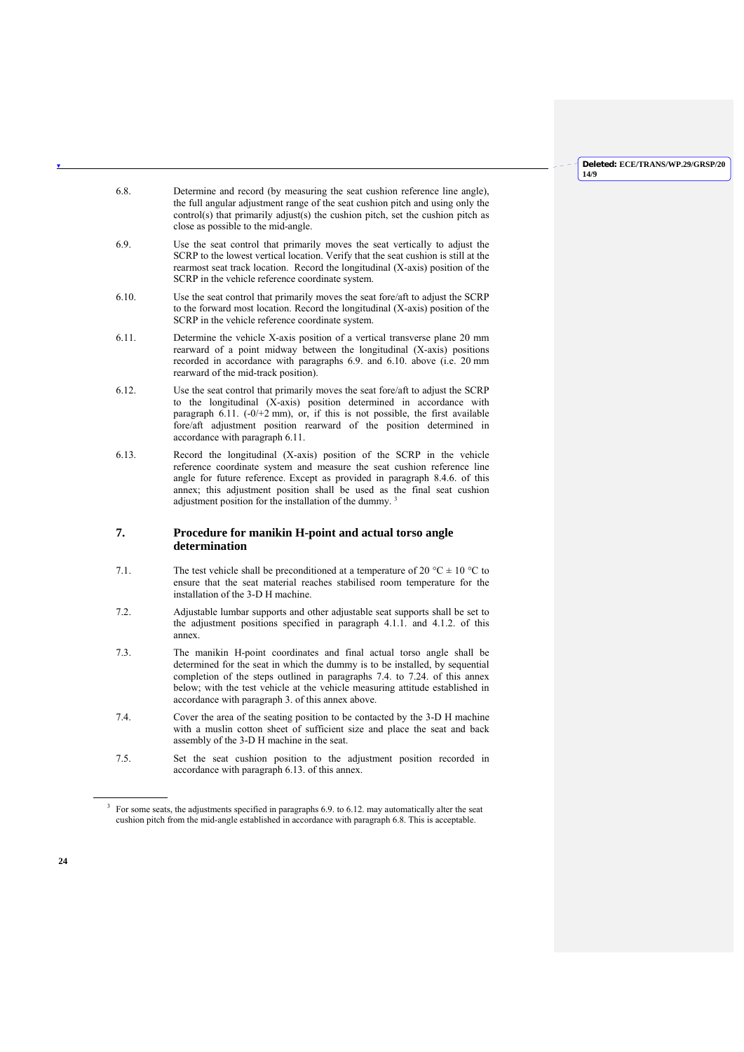- 6.8. Determine and record (by measuring the seat cushion reference line angle), the full angular adjustment range of the seat cushion pitch and using only the control(s) that primarily adjust(s) the cushion pitch, set the cushion pitch as close as possible to the mid-angle.
- 6.9. Use the seat control that primarily moves the seat vertically to adjust the SCRP to the lowest vertical location. Verify that the seat cushion is still at the rearmost seat track location. Record the longitudinal (X-axis) position of the SCRP in the vehicle reference coordinate system.
- 6.10. Use the seat control that primarily moves the seat fore/aft to adjust the SCRP to the forward most location. Record the longitudinal (X-axis) position of the SCRP in the vehicle reference coordinate system.
- 6.11. Determine the vehicle X-axis position of a vertical transverse plane 20 mm rearward of a point midway between the longitudinal (X-axis) positions recorded in accordance with paragraphs 6.9. and 6.10. above (i.e. 20 mm rearward of the mid-track position).
- 6.12. Use the seat control that primarily moves the seat fore/aft to adjust the SCRP to the longitudinal (X-axis) position determined in accordance with paragraph 6.11.  $(-0/2$  mm), or, if this is not possible, the first available fore/aft adjustment position rearward of the position determined in accordance with paragraph 6.11.
- 6.13. Record the longitudinal (X-axis) position of the SCRP in the vehicle reference coordinate system and measure the seat cushion reference line angle for future reference. Except as provided in paragraph 8.4.6. of this annex; this adjustment position shall be used as the final seat cushion adjustment position for the installation of the dummy.<sup>3</sup>

## **7. Procedure for manikin H-point and actual torso angle determination**

- 7.1. The test vehicle shall be preconditioned at a temperature of 20 °C  $\pm$  10 °C to ensure that the seat material reaches stabilised room temperature for the installation of the 3-D H machine.
- 7.2. Adjustable lumbar supports and other adjustable seat supports shall be set to the adjustment positions specified in paragraph 4.1.1. and 4.1.2. of this annex.
- 7.3. The manikin H-point coordinates and final actual torso angle shall be determined for the seat in which the dummy is to be installed, by sequential completion of the steps outlined in paragraphs 7.4. to 7.24. of this annex below; with the test vehicle at the vehicle measuring attitude established in accordance with paragraph 3. of this annex above.
- 7.4. Cover the area of the seating position to be contacted by the 3-D H machine with a muslin cotton sheet of sufficient size and place the seat and back assembly of the 3-D H machine in the seat.
- 7.5. Set the seat cushion position to the adjustment position recorded in accordance with paragraph 6.13. of this annex.

 $\overline{a}$ 

 $3$  For some seats, the adjustments specified in paragraphs 6.9. to 6.12. may automatically alter the seat cushion pitch from the mid-angle established in accordance with paragraph 6.8. This is acceptable.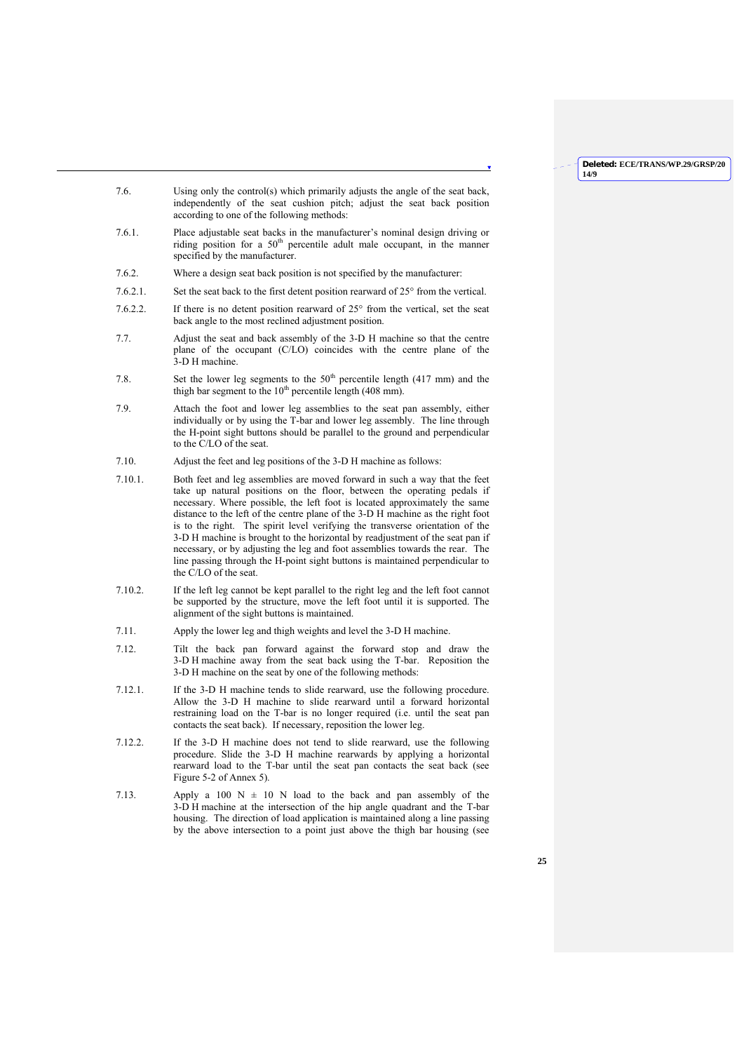**14/9**

**Deleted: ECE/TRANS/WP.29/GRSP/20**

- 7.6. Using only the control(s) which primarily adjusts the angle of the seat back, independently of the seat cushion pitch; adjust the seat back position according to one of the following methods:
- 7.6.1. Place adjustable seat backs in the manufacturer's nominal design driving or riding position for a  $50<sup>th</sup>$  percentile adult male occupant, in the manner specified by the manufacturer.
- 7.6.2. Where a design seat back position is not specified by the manufacturer:
- 7.6.2.1. Set the seat back to the first detent position rearward of 25° from the vertical.
- 7.6.2.2. If there is no detent position rearward of 25° from the vertical, set the seat back angle to the most reclined adjustment position.
- 7.7. Adjust the seat and back assembly of the 3-D H machine so that the centre plane of the occupant (C/LO) coincides with the centre plane of the 3-D H machine.
- 7.8. Set the lower leg segments to the  $50<sup>th</sup>$  percentile length (417 mm) and the thigh bar segment to the  $10<sup>th</sup>$  percentile length (408 mm).
- 7.9. Attach the foot and lower leg assemblies to the seat pan assembly, either individually or by using the T-bar and lower leg assembly. The line through the H-point sight buttons should be parallel to the ground and perpendicular to the C/LO of the seat.
- 7.10. Adjust the feet and leg positions of the 3-D H machine as follows:
- 7.10.1. Both feet and leg assemblies are moved forward in such a way that the feet take up natural positions on the floor, between the operating pedals if necessary. Where possible, the left foot is located approximately the same distance to the left of the centre plane of the 3-D H machine as the right foot is to the right. The spirit level verifying the transverse orientation of the 3-D H machine is brought to the horizontal by readjustment of the seat pan if necessary, or by adjusting the leg and foot assemblies towards the rear. The line passing through the H-point sight buttons is maintained perpendicular to the C/LO of the seat.
- 7.10.2. If the left leg cannot be kept parallel to the right leg and the left foot cannot be supported by the structure, move the left foot until it is supported. The alignment of the sight buttons is maintained.
- 7.11. Apply the lower leg and thigh weights and level the 3-D H machine.
- 7.12. Tilt the back pan forward against the forward stop and draw the 3-D H machine away from the seat back using the T-bar. Reposition the 3-D H machine on the seat by one of the following methods:
- 7.12.1. If the 3-D H machine tends to slide rearward, use the following procedure. Allow the 3-D H machine to slide rearward until a forward horizontal restraining load on the T-bar is no longer required (i.e. until the seat pan contacts the seat back). If necessary, reposition the lower leg.
- 7.12.2. If the 3-D H machine does not tend to slide rearward, use the following procedure. Slide the 3-D H machine rearwards by applying a horizontal rearward load to the T-bar until the seat pan contacts the seat back (see Figure 5-2 of Annex 5).
- 7.13. Apply a 100  $N = 10$  N load to the back and pan assembly of the 3-D H machine at the intersection of the hip angle quadrant and the T-bar housing. The direction of load application is maintained along a line passing by the above intersection to a point just above the thigh bar housing (see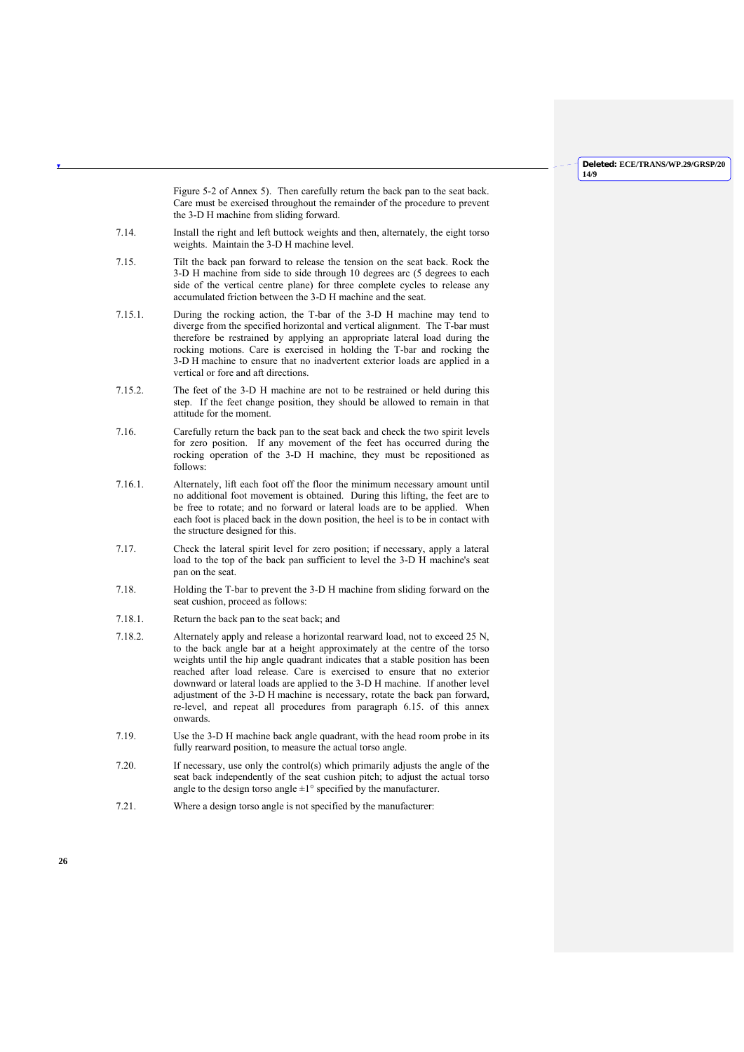Figure 5-2 of Annex 5). Then carefully return the back pan to the seat back. Care must be exercised throughout the remainder of the procedure to prevent the 3-D H machine from sliding forward.

- 7.14. Install the right and left buttock weights and then, alternately, the eight torso weights. Maintain the 3-D H machine level.
- 7.15. Tilt the back pan forward to release the tension on the seat back. Rock the 3-D H machine from side to side through 10 degrees arc (5 degrees to each side of the vertical centre plane) for three complete cycles to release any accumulated friction between the 3-D H machine and the seat.
- 7.15.1. During the rocking action, the T-bar of the 3-D H machine may tend to diverge from the specified horizontal and vertical alignment. The T-bar must therefore be restrained by applying an appropriate lateral load during the rocking motions. Care is exercised in holding the T-bar and rocking the 3-D H machine to ensure that no inadvertent exterior loads are applied in a vertical or fore and aft directions.
- 7.15.2. The feet of the 3-D H machine are not to be restrained or held during this step. If the feet change position, they should be allowed to remain in that attitude for the moment.
- 7.16. Carefully return the back pan to the seat back and check the two spirit levels for zero position. If any movement of the feet has occurred during the rocking operation of the 3-D H machine, they must be repositioned as follows:
- 7.16.1. Alternately, lift each foot off the floor the minimum necessary amount until no additional foot movement is obtained. During this lifting, the feet are to be free to rotate; and no forward or lateral loads are to be applied. When each foot is placed back in the down position, the heel is to be in contact with the structure designed for this.
- 7.17. Check the lateral spirit level for zero position; if necessary, apply a lateral load to the top of the back pan sufficient to level the 3-D H machine's seat pan on the seat.
- 7.18. Holding the T-bar to prevent the 3-D H machine from sliding forward on the seat cushion, proceed as follows:
- 7.18.1. Return the back pan to the seat back; and
- 7.18.2. Alternately apply and release a horizontal rearward load, not to exceed 25 N, to the back angle bar at a height approximately at the centre of the torso weights until the hip angle quadrant indicates that a stable position has been reached after load release. Care is exercised to ensure that no exterior downward or lateral loads are applied to the 3-D H machine. If another level adjustment of the 3-D H machine is necessary, rotate the back pan forward, re-level, and repeat all procedures from paragraph 6.15. of this annex onwards.
- 7.19. Use the 3-D H machine back angle quadrant, with the head room probe in its fully rearward position, to measure the actual torso angle.
- 7.20. If necessary, use only the control(s) which primarily adjusts the angle of the seat back independently of the seat cushion pitch; to adjust the actual torso angle to the design torso angle  $\pm 1^{\circ}$  specified by the manufacturer.
- 7.21. Where a design torso angle is not specified by the manufacturer: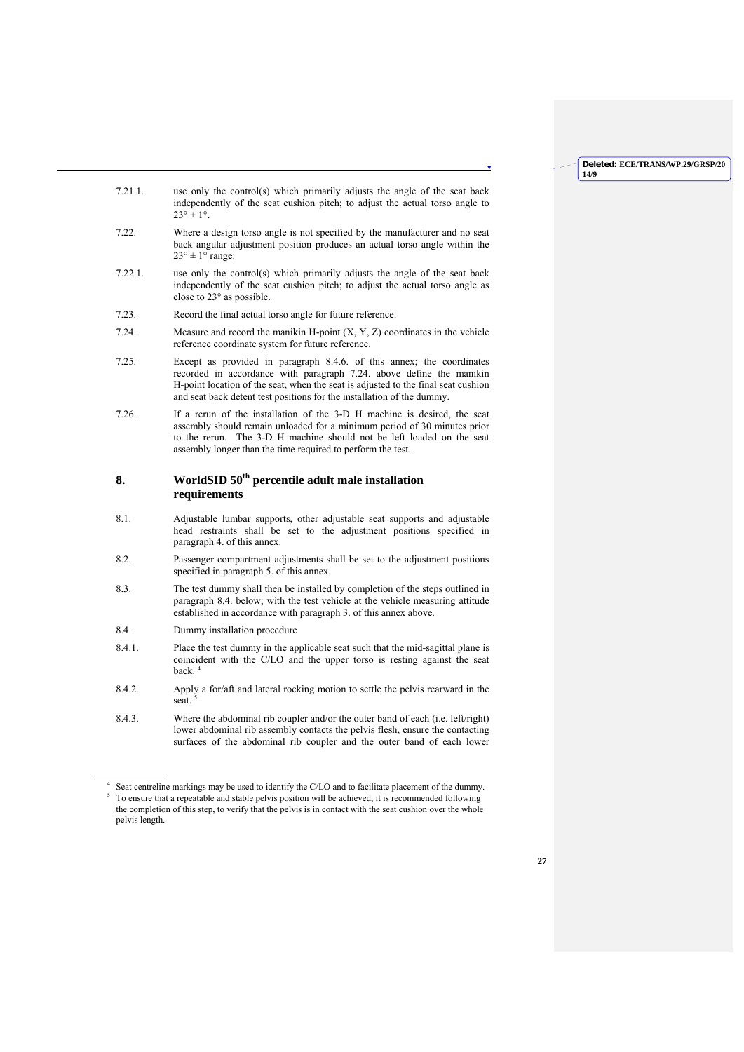**14/9**

**Deleted: ECE/TRANS/WP.29/GRSP/20**

- 7.21.1. use only the control(s) which primarily adjusts the angle of the seat back independently of the seat cushion pitch; to adjust the actual torso angle to  $23^{\circ} \pm 1^{\circ}$ .
- 7.22. Where a design torso angle is not specified by the manufacturer and no seat back angular adjustment position produces an actual torso angle within the  $23^\circ \pm 1^\circ$  range:
- 7.22.1. use only the control(s) which primarily adjusts the angle of the seat back independently of the seat cushion pitch; to adjust the actual torso angle as close to 23° as possible.
- 7.23. Record the final actual torso angle for future reference.
- 7.24. Measure and record the manikin H-point (X, Y, Z) coordinates in the vehicle reference coordinate system for future reference.
- 7.25. Except as provided in paragraph 8.4.6. of this annex; the coordinates recorded in accordance with paragraph 7.24. above define the manikin H-point location of the seat, when the seat is adjusted to the final seat cushion and seat back detent test positions for the installation of the dummy.
- 7.26. If a rerun of the installation of the 3-D H machine is desired, the seat assembly should remain unloaded for a minimum period of 30 minutes prior to the rerun. The 3-D H machine should not be left loaded on the seat assembly longer than the time required to perform the test.

## **8. WorldSID 50th percentile adult male installation requirements**

- 8.1. Adjustable lumbar supports, other adjustable seat supports and adjustable head restraints shall be set to the adjustment positions specified in paragraph 4. of this annex.
- 8.2. Passenger compartment adjustments shall be set to the adjustment positions specified in paragraph 5. of this annex.
- 8.3. The test dummy shall then be installed by completion of the steps outlined in paragraph 8.4. below; with the test vehicle at the vehicle measuring attitude established in accordance with paragraph 3. of this annex above.
- 8.4. Dummy installation procedure

 $\overline{\phantom{a}}$ 

- 8.4.1. Place the test dummy in the applicable seat such that the mid-sagittal plane is coincident with the C/LO and the upper torso is resting against the seat back $4$
- 8.4.2. Apply a for/aft and lateral rocking motion to settle the pelvis rearward in the seat
- 8.4.3. Where the abdominal rib coupler and/or the outer band of each (i.e. left/right) lower abdominal rib assembly contacts the pelvis flesh, ensure the contacting surfaces of the abdominal rib coupler and the outer band of each lower

<sup>4</sup> Seat centreline markings may be used to identify the C/LO and to facilitate placement of the dummy.  $<sup>5</sup>$  To ensure that a repeatable and stable pelvis position will be achieved, it is recommended following</sup> the completion of this step, to verify that the pelvis is in contact with the seat cushion over the whole pelvis length.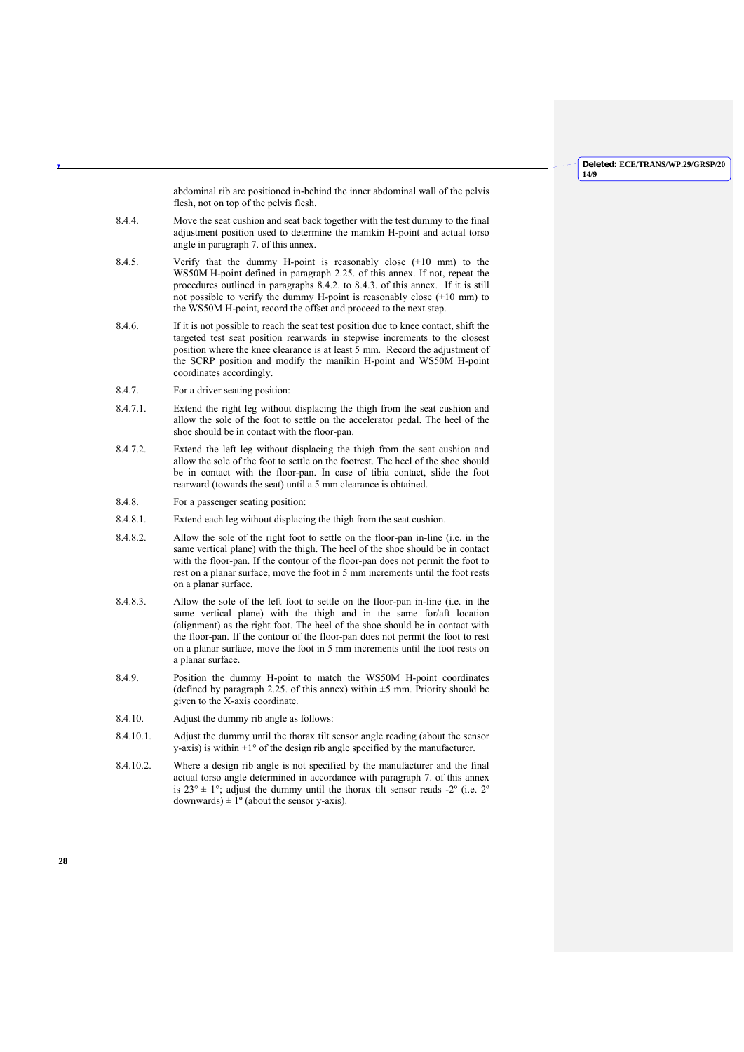abdominal rib are positioned in-behind the inner abdominal wall of the pelvis flesh, not on top of the pelvis flesh.

- 8.4.4. Move the seat cushion and seat back together with the test dummy to the final adjustment position used to determine the manikin H-point and actual torso angle in paragraph 7. of this annex.
- 8.4.5. Verify that the dummy H-point is reasonably close  $(\pm 10 \text{ mm})$  to the WS50M H-point defined in paragraph 2.25. of this annex. If not, repeat the procedures outlined in paragraphs 8.4.2. to 8.4.3. of this annex. If it is still not possible to verify the dummy H-point is reasonably close  $(\pm 10 \text{ mm})$  to the WS50M H-point, record the offset and proceed to the next step.
- 8.4.6. If it is not possible to reach the seat test position due to knee contact, shift the targeted test seat position rearwards in stepwise increments to the closest position where the knee clearance is at least 5 mm. Record the adjustment of the SCRP position and modify the manikin H-point and WS50M H-point coordinates accordingly.
- 8.4.7. For a driver seating position:
- 8.4.7.1. Extend the right leg without displacing the thigh from the seat cushion and allow the sole of the foot to settle on the accelerator pedal. The heel of the shoe should be in contact with the floor-pan.
- 8.4.7.2. Extend the left leg without displacing the thigh from the seat cushion and allow the sole of the foot to settle on the footrest. The heel of the shoe should be in contact with the floor-pan. In case of tibia contact, slide the foot rearward (towards the seat) until a 5 mm clearance is obtained.
- 8.4.8. For a passenger seating position:
- 8.4.8.1. Extend each leg without displacing the thigh from the seat cushion.
- 8.4.8.2. Allow the sole of the right foot to settle on the floor-pan in-line (i.e. in the same vertical plane) with the thigh. The heel of the shoe should be in contact with the floor-pan. If the contour of the floor-pan does not permit the foot to rest on a planar surface, move the foot in 5 mm increments until the foot rests on a planar surface.
- 8.4.8.3. Allow the sole of the left foot to settle on the floor-pan in-line (i.e. in the same vertical plane) with the thigh and in the same for/aft location (alignment) as the right foot. The heel of the shoe should be in contact with the floor-pan. If the contour of the floor-pan does not permit the foot to rest on a planar surface, move the foot in 5 mm increments until the foot rests on a planar surface.
- 8.4.9. Position the dummy H-point to match the WS50M H-point coordinates (defined by paragraph 2.25. of this annex) within  $\pm$ 5 mm. Priority should be given to the X-axis coordinate.
- 8.4.10. Adjust the dummy rib angle as follows:
- 8.4.10.1. Adjust the dummy until the thorax tilt sensor angle reading (about the sensor y-axis) is within  $\pm 1^\circ$  of the design rib angle specified by the manufacturer.
- 8.4.10.2. Where a design rib angle is not specified by the manufacturer and the final actual torso angle determined in accordance with paragraph 7. of this annex is  $23^{\circ} \pm 1^{\circ}$ ; adjust the dummy until the thorax tilt sensor reads -2° (i.e. 2° downwards)  $\pm 1^\circ$  (about the sensor y-axis).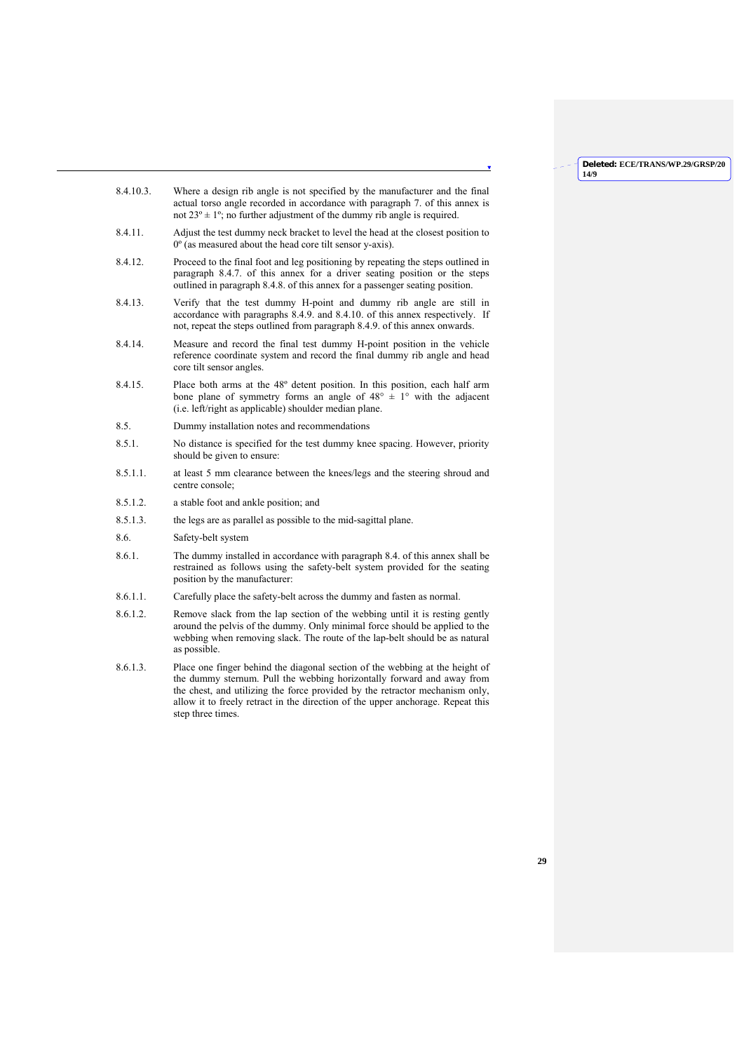- 8.4.10.3. Where a design rib angle is not specified by the manufacturer and the final actual torso angle recorded in accordance with paragraph 7. of this annex is not  $23^{\circ} \pm 1^{\circ}$ ; no further adjustment of the dummy rib angle is required.
- 8.4.11. Adjust the test dummy neck bracket to level the head at the closest position to 0º (as measured about the head core tilt sensor y-axis).
- 8.4.12. Proceed to the final foot and leg positioning by repeating the steps outlined in paragraph 8.4.7. of this annex for a driver seating position or the steps outlined in paragraph 8.4.8. of this annex for a passenger seating position.
- 8.4.13. Verify that the test dummy H-point and dummy rib angle are still in accordance with paragraphs 8.4.9. and 8.4.10. of this annex respectively. If not, repeat the steps outlined from paragraph 8.4.9. of this annex onwards.
- 8.4.14. Measure and record the final test dummy H-point position in the vehicle reference coordinate system and record the final dummy rib angle and head core tilt sensor angles.
- 8.4.15. Place both arms at the 48º detent position. In this position, each half arm bone plane of symmetry forms an angle of  $48^{\circ} \pm 1^{\circ}$  with the adjacent (i.e. left/right as applicable) shoulder median plane.
- 8.5. Dummy installation notes and recommendations
- 8.5.1. No distance is specified for the test dummy knee spacing. However, priority should be given to ensure:
- 8.5.1.1. at least 5 mm clearance between the knees/legs and the steering shroud and centre console;
- 8.5.1.2. a stable foot and ankle position; and
- 8.5.1.3. the legs are as parallel as possible to the mid-sagittal plane.
- 8.6. Safety-belt system
- 8.6.1. The dummy installed in accordance with paragraph 8.4. of this annex shall be restrained as follows using the safety-belt system provided for the seating position by the manufacturer:
- 8.6.1.1. Carefully place the safety-belt across the dummy and fasten as normal.
- 8.6.1.2. Remove slack from the lap section of the webbing until it is resting gently around the pelvis of the dummy. Only minimal force should be applied to the webbing when removing slack. The route of the lap-belt should be as natural as possible.
- 8.6.1.3. Place one finger behind the diagonal section of the webbing at the height of the dummy sternum. Pull the webbing horizontally forward and away from the chest, and utilizing the force provided by the retractor mechanism only, allow it to freely retract in the direction of the upper anchorage. Repeat this step three times.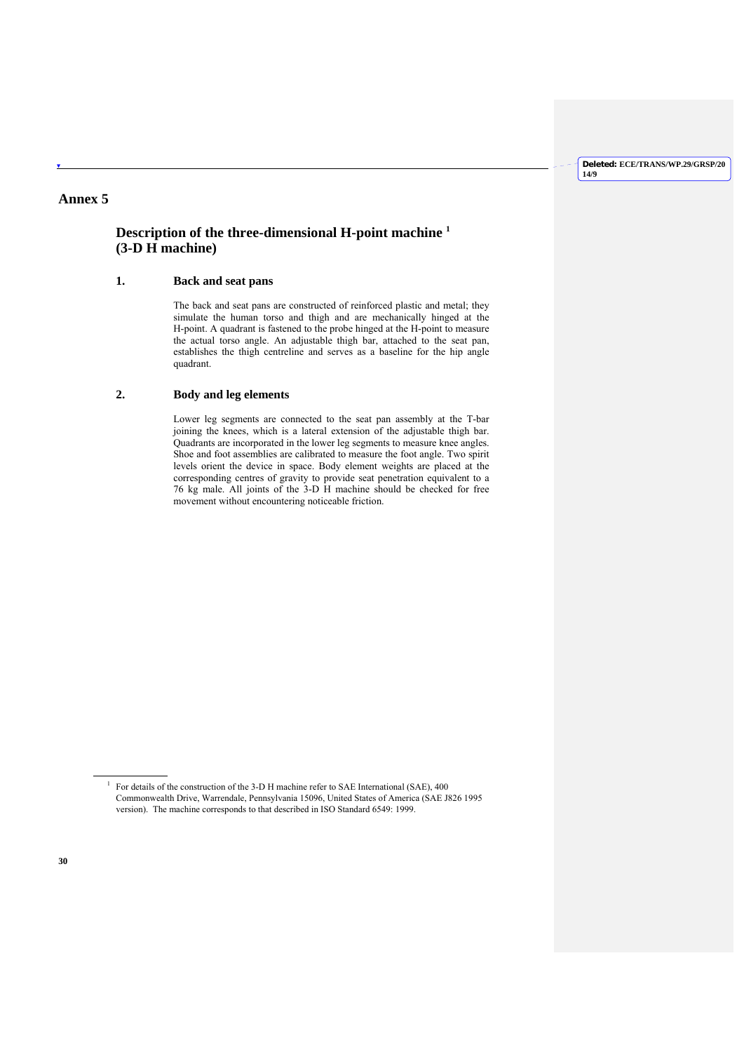## **Annex 5**

## **Description of the three-dimensional H-point machine 1 (3-D H machine)**

## **1. Back and seat pans**

 The back and seat pans are constructed of reinforced plastic and metal; they simulate the human torso and thigh and are mechanically hinged at the H-point. A quadrant is fastened to the probe hinged at the H-point to measure the actual torso angle. An adjustable thigh bar, attached to the seat pan, establishes the thigh centreline and serves as a baseline for the hip angle quadrant.

## **2. Body and leg elements**

 Lower leg segments are connected to the seat pan assembly at the T-bar joining the knees, which is a lateral extension of the adjustable thigh bar. Quadrants are incorporated in the lower leg segments to measure knee angles. Shoe and foot assemblies are calibrated to measure the foot angle. Two spirit levels orient the device in space. Body element weights are placed at the corresponding centres of gravity to provide seat penetration equivalent to a 76 kg male. All joints of the 3-D H machine should be checked for free movement without encountering noticeable friction.

 $\overline{\phantom{a}}$ 1

For details of the construction of the 3-D H machine refer to SAE International (SAE), 400 Commonwealth Drive, Warrendale, Pennsylvania 15096, United States of America (SAE J826 1995 version). The machine corresponds to that described in ISO Standard 6549: 1999.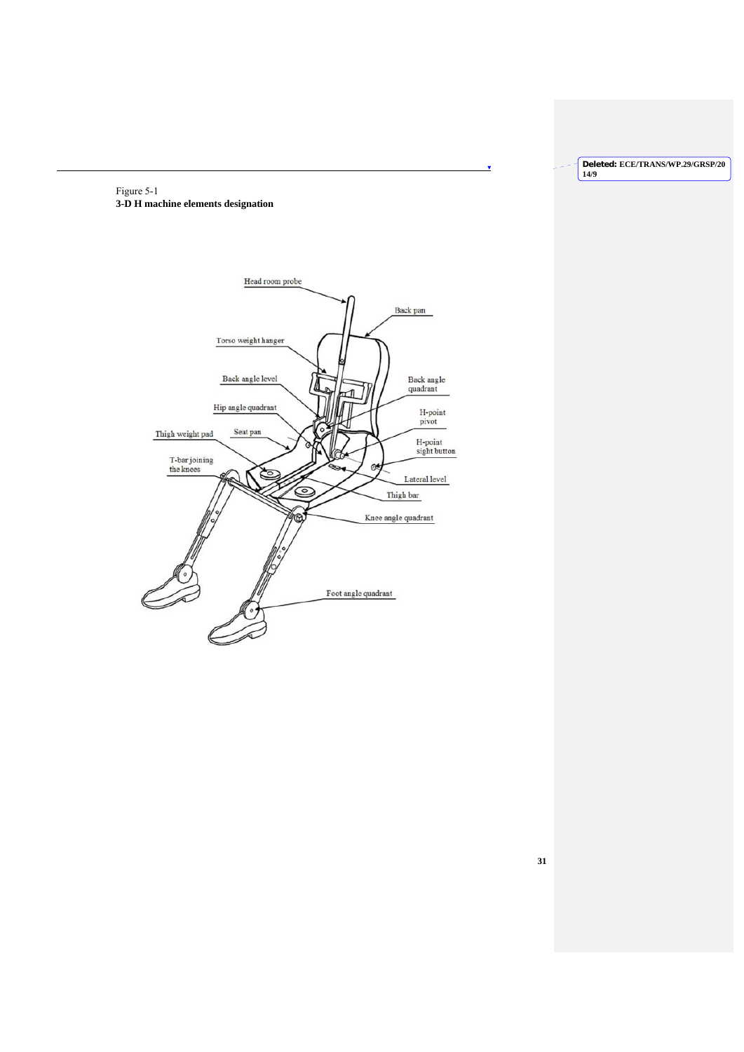Figure 5-1 **3-D H machine elements designation** 



| Deleted: ECE/TRANS/WP.29/GRSP/20 |
|----------------------------------|
|                                  |
| 14/9                             |
|                                  |

×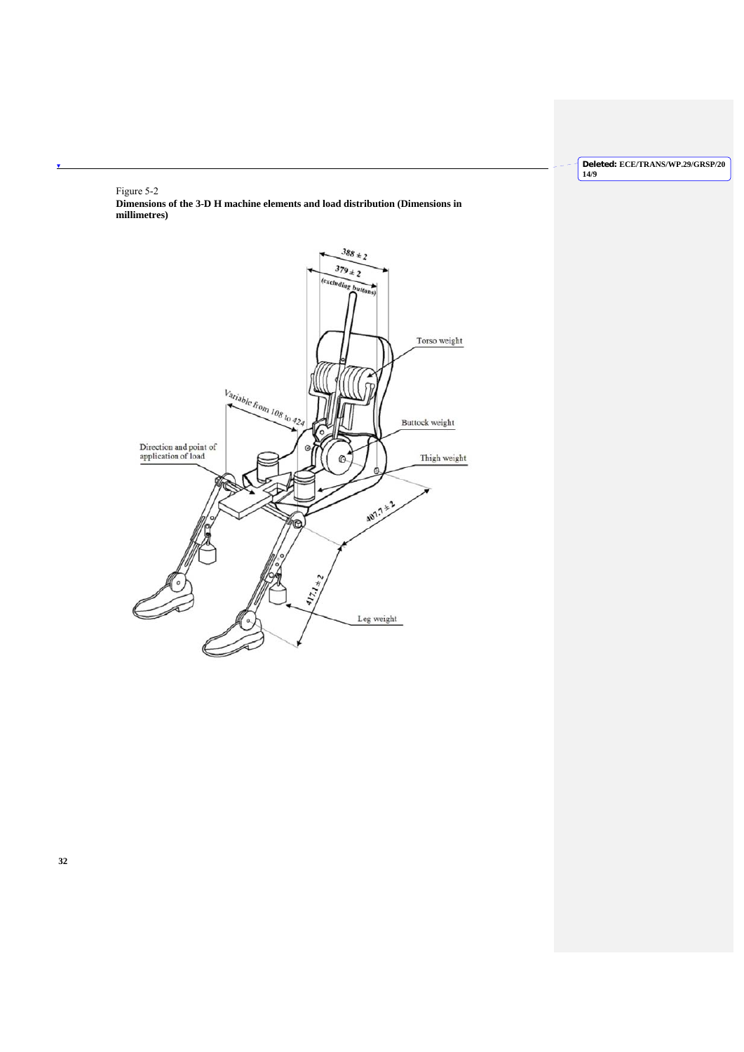# Figure 5-2

 $\overline{\textbf{v}}$ 

**Dimensions of the 3-D H machine elements and load distribution (Dimensions in millimetres)** 

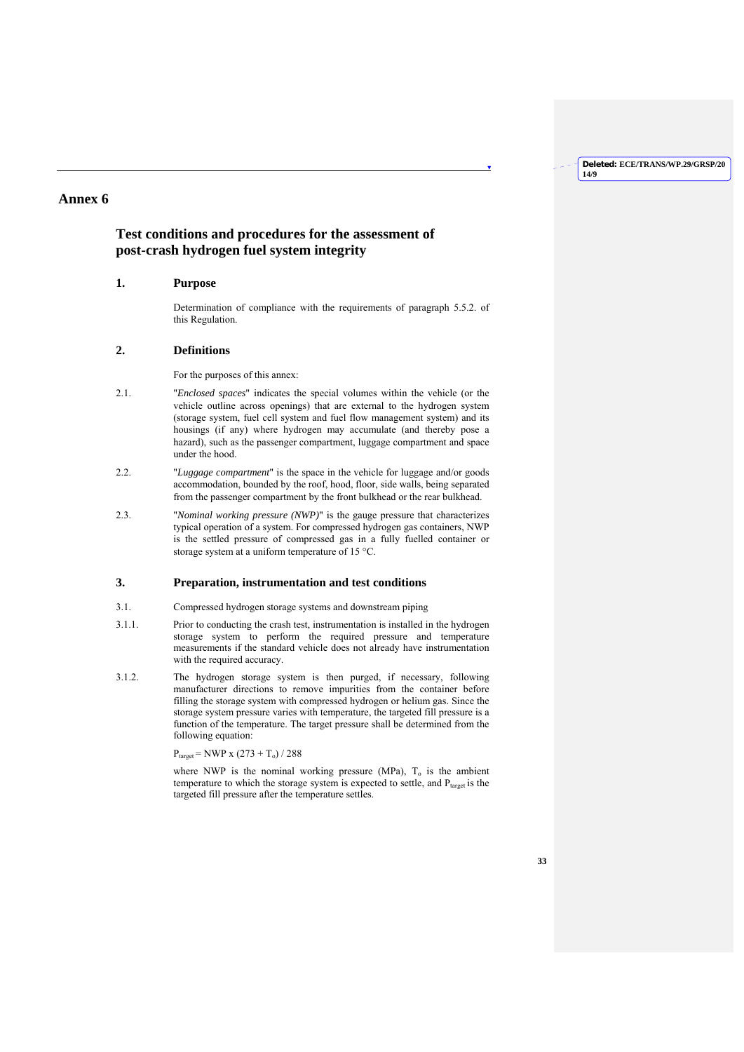## **Annex 6**

## **Test conditions and procedures for the assessment of post-crash hydrogen fuel system integrity**

## **1. Purpose**

Determination of compliance with the requirements of paragraph 5.5.2. of this Regulation.

## **2. Definitions**

For the purposes of this annex:

- 2.1. "*Enclosed spaces*" indicates the special volumes within the vehicle (or the vehicle outline across openings) that are external to the hydrogen system (storage system, fuel cell system and fuel flow management system) and its housings (if any) where hydrogen may accumulate (and thereby pose a hazard), such as the passenger compartment, luggage compartment and space under the hood.
- 2.2. "*Luggage compartment*" is the space in the vehicle for luggage and/or goods accommodation, bounded by the roof, hood, floor, side walls, being separated from the passenger compartment by the front bulkhead or the rear bulkhead.
- 2.3. "*Nominal working pressure (NWP)*" is the gauge pressure that characterizes typical operation of a system. For compressed hydrogen gas containers, NWP is the settled pressure of compressed gas in a fully fuelled container or storage system at a uniform temperature of 15 °C.

## **3. Preparation, instrumentation and test conditions**

- 3.1. Compressed hydrogen storage systems and downstream piping
- 3.1.1. Prior to conducting the crash test, instrumentation is installed in the hydrogen storage system to perform the required pressure and temperature measurements if the standard vehicle does not already have instrumentation with the required accuracy.
- 3.1.2. The hydrogen storage system is then purged, if necessary, following manufacturer directions to remove impurities from the container before filling the storage system with compressed hydrogen or helium gas. Since the storage system pressure varies with temperature, the targeted fill pressure is a function of the temperature. The target pressure shall be determined from the following equation:

 $P_{target} = NWP \times (273 + T_o) / 288$ 

where NWP is the nominal working pressure (MPa),  $T<sub>o</sub>$  is the ambient temperature to which the storage system is expected to settle, and  $P_{\text{target}}$  is the targeted fill pressure after the temperature settles.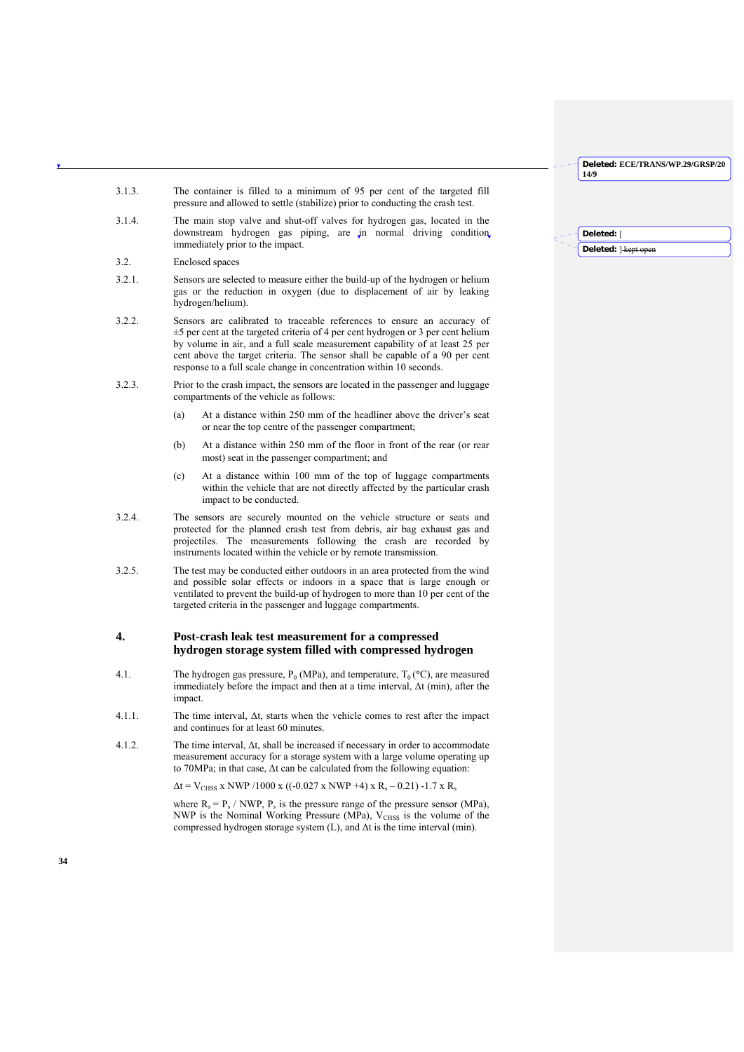**Deleted:** [ **Deleted:**  $\frac{1}{2}$ **kept** op

- 3.1.3. The container is filled to a minimum of 95 per cent of the targeted fill pressure and allowed to settle (stabilize) prior to conducting the crash test.
- 3.1.4. The main stop valve and shut-off valves for hydrogen gas, located in the downstream hydrogen gas piping, are in normal driving condition, immediately prior to the impact.
- 3.2. Enclosed spaces
- 3.2.1. Sensors are selected to measure either the build-up of the hydrogen or helium gas or the reduction in oxygen (due to displacement of air by leaking hydrogen/helium).
- 3.2.2. Sensors are calibrated to traceable references to ensure an accuracy of ±5 per cent at the targeted criteria of 4 per cent hydrogen or 3 per cent helium by volume in air, and a full scale measurement capability of at least 25 per cent above the target criteria. The sensor shall be capable of a 90 per cent response to a full scale change in concentration within 10 seconds.
- 3.2.3. Prior to the crash impact, the sensors are located in the passenger and luggage compartments of the vehicle as follows:
	- (a) At a distance within 250 mm of the headliner above the driver's seat or near the top centre of the passenger compartment;
	- (b) At a distance within 250 mm of the floor in front of the rear (or rear most) seat in the passenger compartment; and
	- (c) At a distance within 100 mm of the top of luggage compartments within the vehicle that are not directly affected by the particular crash impact to be conducted.
- 3.2.4. The sensors are securely mounted on the vehicle structure or seats and protected for the planned crash test from debris, air bag exhaust gas and projectiles. The measurements following the crash are recorded by instruments located within the vehicle or by remote transmission.
- 3.2.5. The test may be conducted either outdoors in an area protected from the wind and possible solar effects or indoors in a space that is large enough or ventilated to prevent the build-up of hydrogen to more than 10 per cent of the targeted criteria in the passenger and luggage compartments.

## **4. Post-crash leak test measurement for a compressed hydrogen storage system filled with compressed hydrogen**

- 4.1. The hydrogen gas pressure,  $P_0$  (MPa), and temperature,  $T_0$  ( $\degree$ C), are measured immediately before the impact and then at a time interval, Δt (min), after the impact.
- 4.1.1. The time interval,  $\Delta t$ , starts when the vehicle comes to rest after the impact and continues for at least 60 minutes.
- 4.1.2. The time interval, Δt, shall be increased if necessary in order to accommodate measurement accuracy for a storage system with a large volume operating up to 70MPa; in that case, Δt can be calculated from the following equation:

 $\Delta t = V_{CHSS}$  x NWP /1000 x ((-0.027 x NWP +4) x R<sub>s</sub> – 0.21) -1.7 x R<sub>s</sub>

where  $R_s = P_s / NWP$ ,  $P_s$  is the pressure range of the pressure sensor (MPa), NWP is the Nominal Working Pressure ( $\overline{MPa}$ ), V<sub>CHSS</sub> is the volume of the compressed hydrogen storage system (L), and Δt is the time interval (min).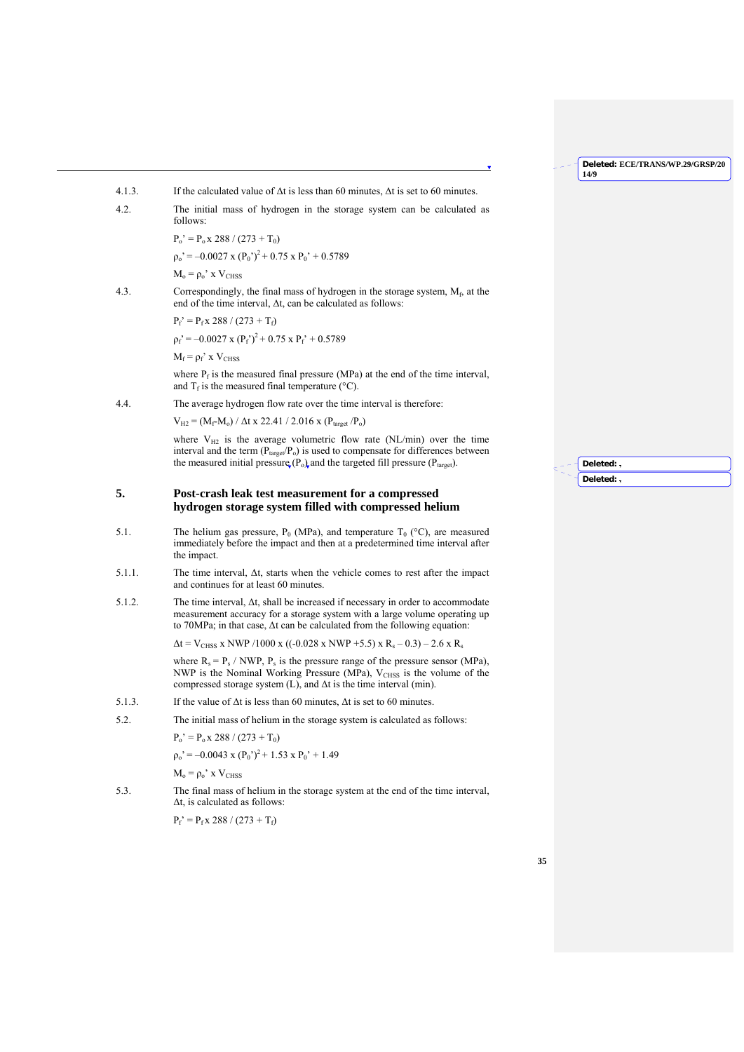- 4.1.3. If the calculated value of  $\Delta t$  is less than 60 minutes,  $\Delta t$  is set to 60 minutes.
- 4.2. The initial mass of hydrogen in the storage system can be calculated as follows:

 $P_0' = P_0 x 288 / (273 + T_0)$ 

 $p_0$ <sup>2</sup> = –0.0027 x ( $P_0$ <sup>2</sup>)<sup>2</sup> + 0.75 x  $P_0$ <sup>2</sup> + 0.5789

 $M_0 = \rho_0'$  x  $V_{CHSS}$ 

4.3. Correspondingly, the final mass of hydrogen in the storage system, Mf, at the end of the time interval, Δt, can be calculated as follows:

 $P_f' = P_f x 288 / (273 + T_f)$ 

 $p_f' = -0.0027 \times (P_f')^2 + 0.75 \times P_f' + 0.5789$ 

 $M_f = \rho_f'$  x  $V_{CHSS}$ 

where  $P_f$  is the measured final pressure (MPa) at the end of the time interval, and  $T_f$  is the measured final temperature (°C).

4.4. The average hydrogen flow rate over the time interval is therefore:

 $V_{H2} = (M_f \cdot M_o) / \Delta t \times 22.41 / 2.016 \times (P_{target} / P_o)$ 

where  $V_{H2}$  is the average volumetric flow rate (NL/min) over the time interval and the term  $(P_{target}/P_o)$  is used to compensate for differences between the measured initial pressure  $(P_0)$  and the targeted fill pressure  $(P_{\text{target}})$ .

## **5. Post-crash leak test measurement for a compressed hydrogen storage system filled with compressed helium**

- 5.1. The helium gas pressure,  $P_0$  (MPa), and temperature  $T_0$  (°C), are measured immediately before the impact and then at a predetermined time interval after the impact.
- 5.1.1. The time interval, Δt, starts when the vehicle comes to rest after the impact and continues for at least 60 minutes.
- 5.1.2. The time interval, Δt, shall be increased if necessary in order to accommodate measurement accuracy for a storage system with a large volume operating up to 70MPa; in that case, Δt can be calculated from the following equation:

 $\Delta t = V_{CHSS}$  x NWP /1000 x ((-0.028 x NWP +5.5) x R<sub>s</sub> – 0.3) – 2.6 x R<sub>s</sub>

where  $R_s = P_s / NWP$ ,  $P_s$  is the pressure range of the pressure sensor (MPa), NWP is the Nominal Working Pressure (MPa),  $V_{CHSS}$  is the volume of the compressed storage system  $(L)$ , and  $\Delta t$  is the time interval (min).

5.1.3. If the value of  $\Delta t$  is less than 60 minutes,  $\Delta t$  is set to 60 minutes.

5.2. The initial mass of helium in the storage system is calculated as follows:

 $P_0' = P_0 x 288 / (273 + T_0)$ 

 $p_0' = -0.0043 \times (P_0')^2 + 1.53 \times P_0' + 1.49$ 

 $M_0 = \rho_0$ ' x  $V_{CHSS}$ 

5.3. The final mass of helium in the storage system at the end of the time interval, Δt, is calculated as follows:

 $P_f' = P_f x 288 / (273 + T_f)$ 

**Deleted:** , **Deleted:** ,

**Deleted: ECE/TRANS/WP.29/GRSP/20**

**14/9**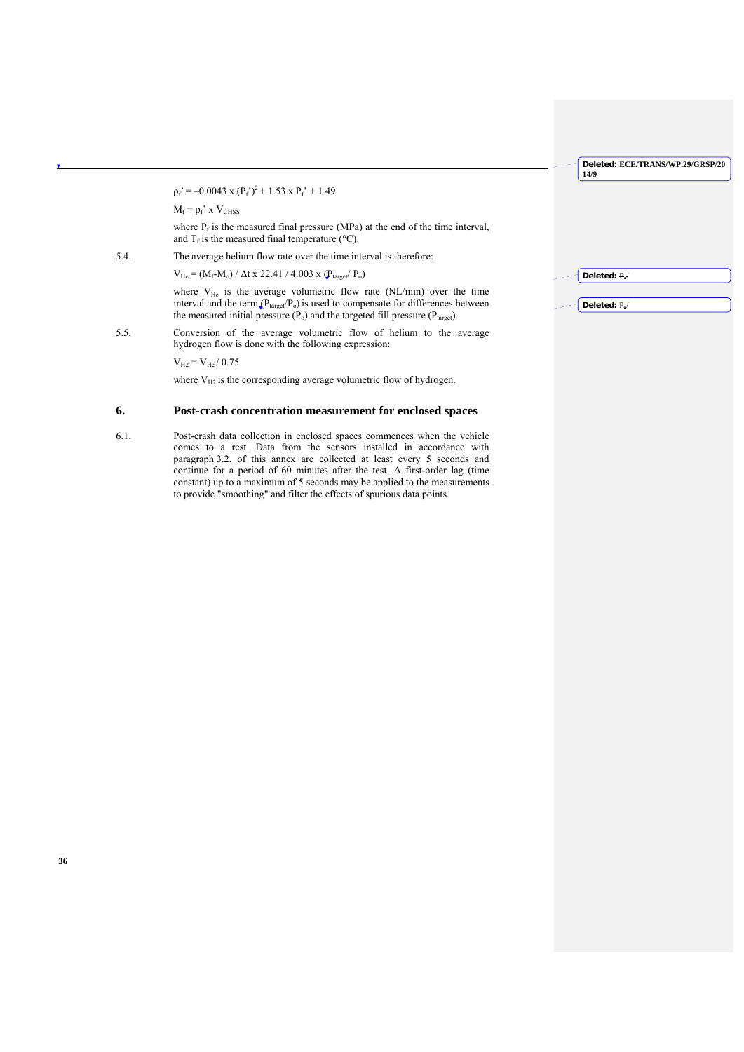$p_f' = -0.0043 \times (P_f')^2 + 1.53 \times P_f' + 1.49$ 

 $M_f = \rho_f'$  x  $V_{CHSS}$ 

where  $P_f$  is the measured final pressure (MPa) at the end of the time interval, and  $T_f$  is the measured final temperature ( $\rm{°C}$ ).

5.4. The average helium flow rate over the time interval is therefore:

 $V_{\text{He}}$  = (M<sub>f</sub>-M<sub>o</sub>) /  $\Delta t$  x 22.41 / 4.003 x ( $P_{\text{target}}$ /  $P_{\text{o}}$ )

where  $V_{He}$  is the average volumetric flow rate (NL/min) over the time interval and the term  $(P_{target}/P_o)$  is used to compensate for differences between the measured initial pressure  $(P_0)$  and the targeted fill pressure  $(P_{target})$ .

5.5. Conversion of the average volumetric flow of helium to the average hydrogen flow is done with the following expression:

 $V_{H2} = V_{He} / 0.75$ 

where  $V_{H2}$  is the corresponding average volumetric flow of hydrogen.

## **6. Post-crash concentration measurement for enclosed spaces**

6.1. Post-crash data collection in enclosed spaces commences when the vehicle comes to a rest. Data from the sensors installed in accordance with paragraph 3.2. of this annex are collected at least every 5 seconds and continue for a period of 60 minutes after the test. A first-order lag (time constant) up to a maximum of 5 seconds may be applied to the measurements to provide "smoothing" and filter the effects of spurious data points.

| س ا | $\leftarrow$ Deleted: $P_{e}$ |
|-----|-------------------------------|
|     |                               |
|     | Deleted: $P_{\rm e}$ /        |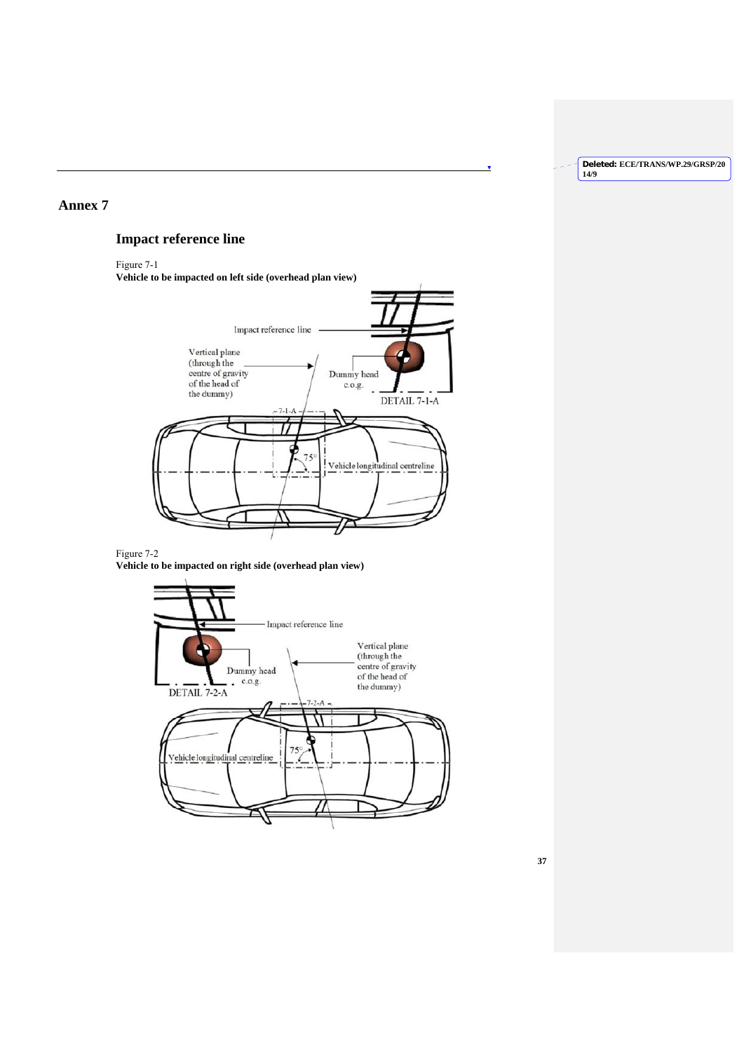×

## **Annex 7**

# **Impact reference line**

Figure 7-1

**Vehicle to be impacted on left side (overhead plan view)**



## Figure 7-2 **Vehicle to be impacted on right side (overhead plan view)**

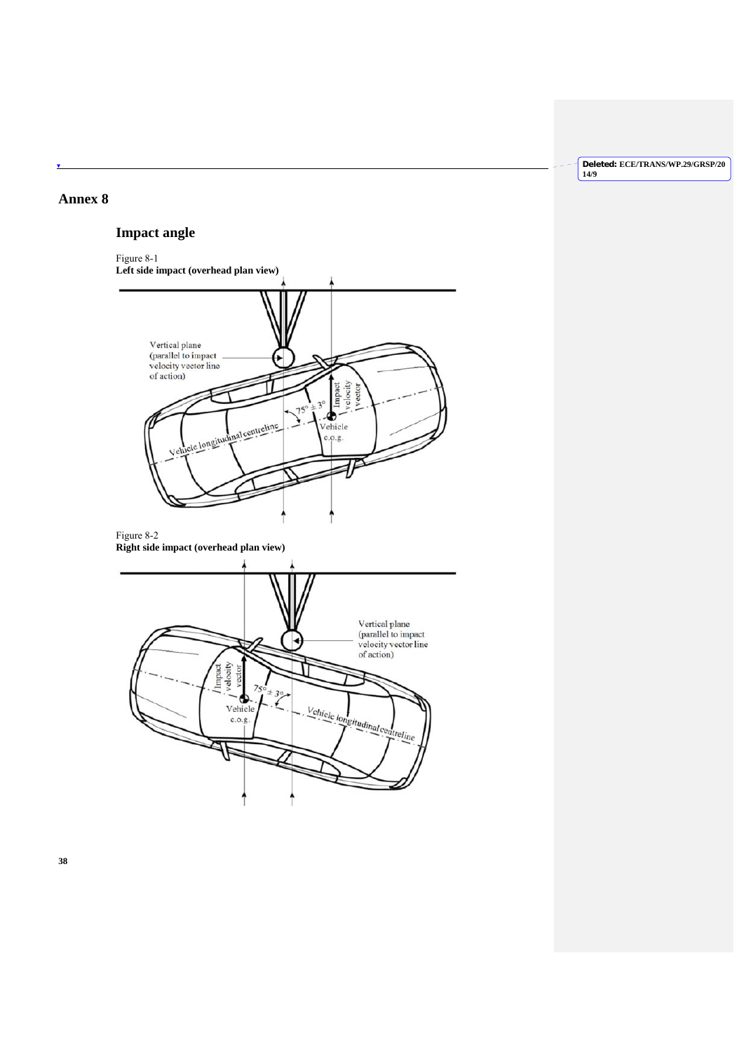## **Annex 8**

۷

# **Impact angle**



**Deleted: ECE/TRANS/WP.29/GRSP/20 14/9**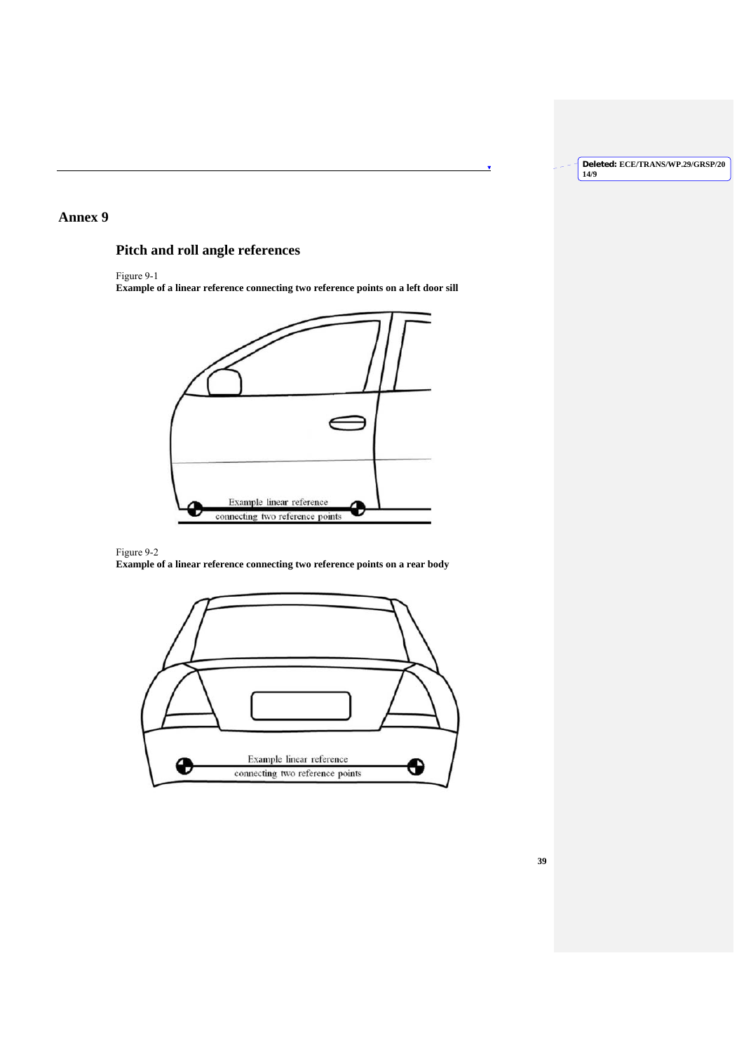Ñ

## **Annex 9**

# **Pitch and roll angle references**

Figure 9-1

**Example of a linear reference connecting two reference points on a left door sill**



## Figure 9-2

**Example of a linear reference connecting two reference points on a rear body**

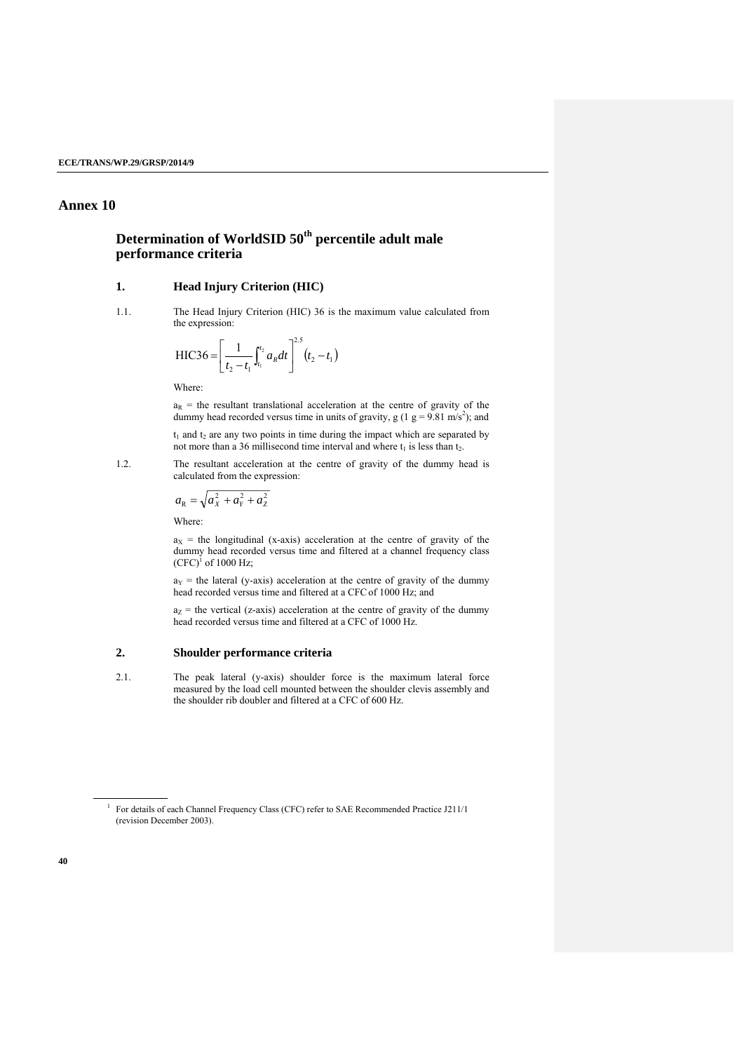## **Annex 10**

# **Determination of WorldSID 50th percentile adult male performance criteria**

## **1. Head Injury Criterion (HIC)**

1.1. The Head Injury Criterion (HIC) 36 is the maximum value calculated from the expression:

$$
HIC36 = \left[\frac{1}{t_2 - t_1}\int_{t_1}^{t_2} a_R dt\right]^{2.5} (t_2 - t_1)
$$

Where:

 $a_R$  = the resultant translational acceleration at the centre of gravity of the dummy head recorded versus time in units of gravity,  $g(1 \text{ g} = 9.81 \text{ m/s}^2)$ ; and  $t_1$  and  $t_2$  are any two points in time during the impact which are separated by

not more than a 36 millisecond time interval and where  $t_1$  is less than  $t_2$ .

1.2. The resultant acceleration at the centre of gravity of the dummy head is calculated from the expression:

$$
a_{\rm R} = \sqrt{a_{\rm X}^2 + a_{\rm Y}^2 + a_{\rm Z}^2}
$$

Where:

 $a_X$  = the longitudinal (x-axis) acceleration at the centre of gravity of the dummy head recorded versus time and filtered at a channel frequency class  $(CFC)^1$  of 1000 Hz;

 $a_Y$  = the lateral (y-axis) acceleration at the centre of gravity of the dummy head recorded versus time and filtered at a CFCof 1000 Hz; and

 $a<sub>z</sub>$  = the vertical (z-axis) acceleration at the centre of gravity of the dummy head recorded versus time and filtered at a CFC of 1000 Hz.

## **2. Shoulder performance criteria**

2.1. The peak lateral (y-axis) shoulder force is the maximum lateral force measured by the load cell mounted between the shoulder clevis assembly and the shoulder rib doubler and filtered at a CFC of 600 Hz.

l

<sup>&</sup>lt;sup>1</sup> For details of each Channel Frequency Class (CFC) refer to SAE Recommended Practice J211/1 (revision December 2003).